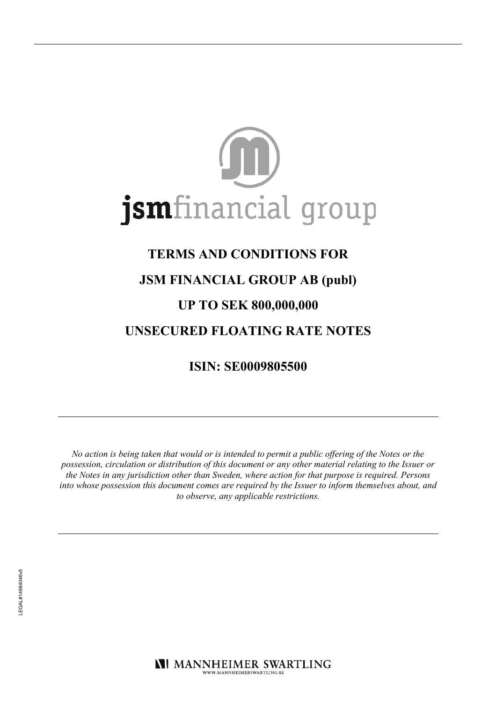

# **TERMS AND CONDITIONS FOR**

# **JSM FINANCIAL GROUP AB (publ)**

# **UP TO SEK 800,000,000**

# **UNSECURED FLOATING RATE NOTES**

**ISIN: SE0009805500** 

No action is being taken that would or is intended to permit a public offering of the Notes or the possession, circulation or distribution of this document or any other material relating to the Issuer or the Notes in any jurisdiction other than Sweden, where action for that purpose is required. Persons into whose possession this document comes are required by the Issuer to inform themselves about, and to observe, any applicable restrictions.

**NI MANNHEIMER SWARTLING** WWW.MANNHEIMERSWARTLING.SE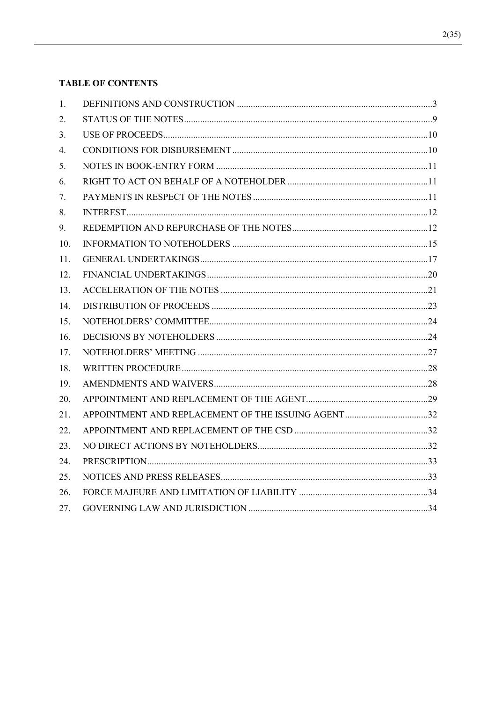# **TABLE OF CONTENTS**

| 1.  |  |
|-----|--|
| 2.  |  |
| 3.  |  |
| 4.  |  |
| 5.  |  |
| 6.  |  |
| 7.  |  |
| 8.  |  |
| 9.  |  |
| 10. |  |
| 11. |  |
| 12. |  |
| 13. |  |
| 14. |  |
| 15. |  |
| 16. |  |
| 17. |  |
| 18. |  |
| 19. |  |
| 20. |  |
| 21. |  |
| 22. |  |
| 23. |  |
| 24. |  |
| 25. |  |
| 26. |  |
| 27. |  |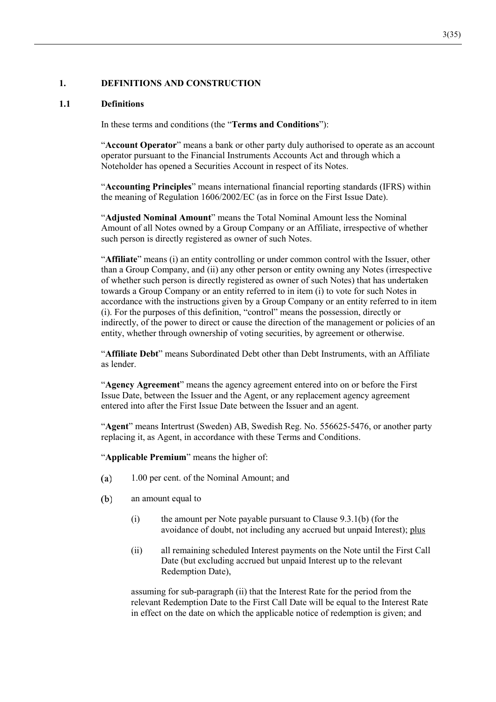### $\mathbf{1}$ . DEFINITIONS AND CONSTRUCTION

### **Definitions**  $1.1$

In these terms and conditions (the "Terms and Conditions"):

"Account Operator" means a bank or other party duly authorised to operate as an account operator pursuant to the Financial Instruments Accounts Act and through which a Noteholder has opened a Securities Account in respect of its Notes.

"Accounting Principles" means international financial reporting standards (IFRS) within the meaning of Regulation 1606/2002/EC (as in force on the First Issue Date).

"Adjusted Nominal Amount" means the Total Nominal Amount less the Nominal Amount of all Notes owned by a Group Company or an Affiliate, irrespective of whether such person is directly registered as owner of such Notes.

"Affiliate" means (i) an entity controlling or under common control with the Issuer, other than a Group Company, and (ii) any other person or entity owning any Notes (irrespective of whether such person is directly registered as owner of such Notes) that has undertaken towards a Group Company or an entity referred to in item (i) to vote for such Notes in accordance with the instructions given by a Group Company or an entity referred to in item (i). For the purposes of this definition, "control" means the possession, directly or indirectly, of the power to direct or cause the direction of the management or policies of an entity, whether through ownership of voting securities, by agreement or otherwise.

"Affiliate Debt" means Subordinated Debt other than Debt Instruments, with an Affiliate as lender

"Agency Agreement" means the agency agreement entered into on or before the First Issue Date, between the Issuer and the Agent, or any replacement agency agreement entered into after the First Issue Date between the Issuer and an agent.

"Agent" means Intertrust (Sweden) AB, Swedish Reg. No. 556625-5476, or another party replacing it, as Agent, in accordance with these Terms and Conditions.

"Applicable Premium" means the higher of:

- $(a)$ 1.00 per cent. of the Nominal Amount; and
- $(b)$ an amount equal to
	- $(i)$ the amount per Note payable pursuant to Clause 9.3.1(b) (for the avoidance of doubt, not including any accrued but unpaid Interest); plus
	- $(ii)$ all remaining scheduled Interest payments on the Note until the First Call Date (but excluding accrued but unpaid Interest up to the relevant Redemption Date),

assuming for sub-paragraph (ii) that the Interest Rate for the period from the relevant Redemption Date to the First Call Date will be equal to the Interest Rate in effect on the date on which the applicable notice of redemption is given; and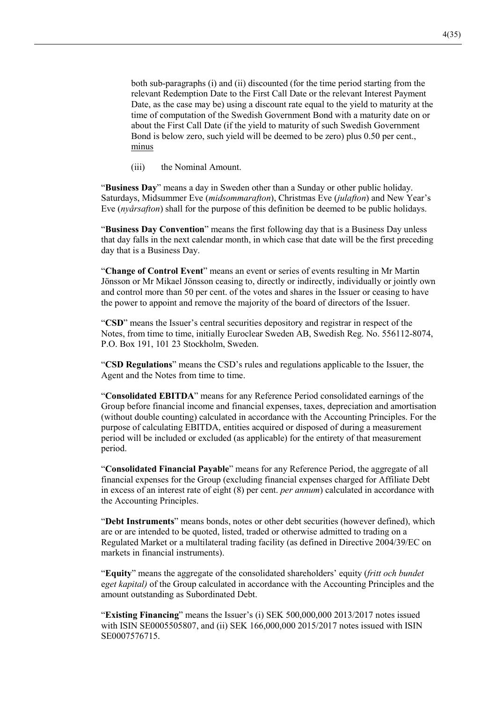both sub-paragraphs (i) and (ii) discounted (for the time period starting from the relevant Redemption Date to the First Call Date or the relevant Interest Payment Date, as the case may be) using a discount rate equal to the yield to maturity at the time of computation of the Swedish Government Bond with a maturity date on or about the First Call Date (if the yield to maturity of such Swedish Government Bond is below zero, such yield will be deemed to be zero) plus 0.50 per cent., minus

 $(iii)$ the Nominal Amount.

"Business Day" means a day in Sweden other than a Sunday or other public holiday. Saturdays, Midsummer Eve (*midsommarafton*), Christmas Eve (*julafton*) and New Year's Eve  $(ny\hat{a}rs\hat{a}f\hat{a}o)$  shall for the purpose of this definition be deemed to be public holidays.

"Business Day Convention" means the first following day that is a Business Day unless that day falls in the next calendar month, in which case that date will be the first preceding day that is a Business Day.

"Change of Control Event" means an event or series of events resulting in Mr Martin Jönsson or Mr Mikael Jönsson ceasing to, directly or indirectly, individually or jointly own and control more than 50 per cent. of the votes and shares in the Issuer or ceasing to have the power to appoint and remove the majority of the board of directors of the Issuer.

"CSD" means the Issuer's central securities depository and registrar in respect of the Notes, from time to time, initially Euroclear Sweden AB, Swedish Reg. No. 556112-8074, P.O. Box 191, 101 23 Stockholm, Sweden.

"CSD Regulations" means the CSD's rules and regulations applicable to the Issuer, the Agent and the Notes from time to time.

"Consolidated EBITDA" means for any Reference Period consolidated earnings of the Group before financial income and financial expenses, taxes, depreciation and amortisation (without double counting) calculated in accordance with the Accounting Principles. For the purpose of calculating EBITDA, entities acquired or disposed of during a measurement period will be included or excluded (as applicable) for the entirety of that measurement period.

"Consolidated Financial Payable" means for any Reference Period, the aggregate of all financial expenses for the Group (excluding financial expenses charged for Affiliate Debt in excess of an interest rate of eight (8) per cent. *per annum*) calculated in accordance with the Accounting Principles.

"Debt Instruments" means bonds, notes or other debt securities (however defined), which are or are intended to be quoted, listed, traded or otherwise admitted to trading on a Regulated Market or a multilateral trading facility (as defined in Directive 2004/39/EC on markets in financial instruments).

"Equity" means the aggregate of the consolidated shareholders' equity (fritt och bundet eget kapital) of the Group calculated in accordance with the Accounting Principles and the amount outstanding as Subordinated Debt.

"Existing Financing" means the Issuer's (i) SEK  $500,000,000$  2013/2017 notes issued with ISIN SE0005505807, and (ii) SEK 166,000,000 2015/2017 notes issued with ISIN SE0007576715.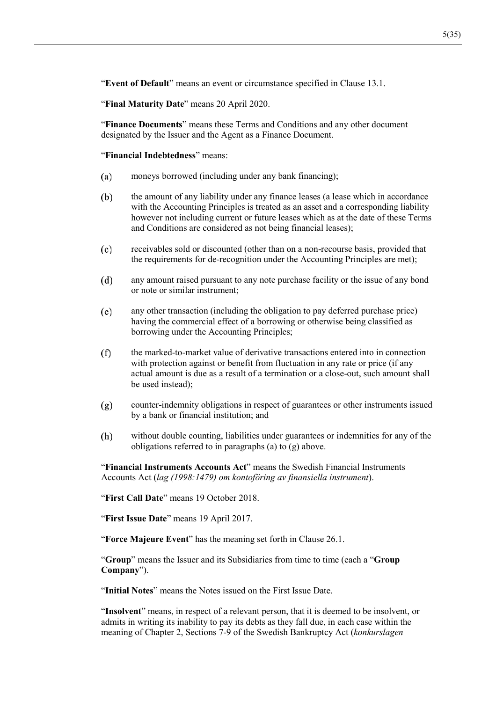"Event of Default" means an event or circumstance specified in Clause 13.1.

"Final Maturity Date" means 20 April 2020.

"Finance Documents" means these Terms and Conditions and any other document designated by the Issuer and the Agent as a Finance Document.

"Financial Indebtedness" means:

- moneys borrowed (including under any bank financing);  $(a)$
- $(b)$ the amount of any liability under any finance leases (a lease which in accordance with the Accounting Principles is treated as an asset and a corresponding liability however not including current or future leases which as at the date of these Terms and Conditions are considered as not being financial leases);
- $(c)$ receivables sold or discounted (other than on a non-recourse basis, provided that the requirements for de-recognition under the Accounting Principles are met);
- $(d)$ any amount raised pursuant to any note purchase facility or the issue of any bond or note or similar instrument:
- $(e)$ any other transaction (including the obligation to pay deferred purchase price) having the commercial effect of a borrowing or otherwise being classified as borrowing under the Accounting Principles;
- $(f)$ the marked-to-market value of derivative transactions entered into in connection with protection against or benefit from fluctuation in any rate or price (if any actual amount is due as a result of a termination or a close-out, such amount shall be used instead):
- counter-indemnity obligations in respect of guarantees or other instruments issued  $(g)$ by a bank or financial institution; and
- $(h)$ without double counting, liabilities under guarantees or indemnities for any of the obligations referred to in paragraphs (a) to  $(g)$  above.

"Financial Instruments Accounts Act" means the Swedish Financial Instruments Accounts Act (lag (1998:1479) om kontoföring av finansiella instrument).

"First Call Date" means 19 October 2018.

"First Issue Date" means 19 April 2017.

"Force Majeure Event" has the meaning set forth in Clause 26.1.

"Group" means the Issuer and its Subsidiaries from time to time (each a "Group Company").

"Initial Notes" means the Notes issued on the First Issue Date.

"Insolvent" means, in respect of a relevant person, that it is deemed to be insolvent, or admits in writing its inability to pay its debts as they fall due, in each case within the meaning of Chapter 2, Sections 7-9 of the Swedish Bankruptcy Act (konkurslagen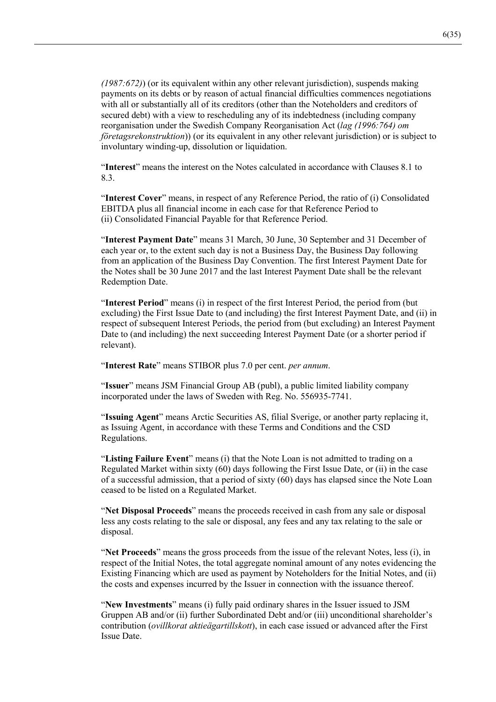$(1987.672)$ ) (or its equivalent within any other relevant jurisdiction), suspends making payments on its debts or by reason of actual financial difficulties commences negotiations with all or substantially all of its creditors (other than the Noteholders and creditors of secured debt) with a view to rescheduling any of its indebtedness (including company reorganisation under the Swedish Company Reorganisation Act (lag (1996:764) om *företagsrekonstruktion*)) (or its equivalent in any other relevant jurisdiction) or is subject to involuntary winding-up, dissolution or liquidation.

"**Interest**" means the interest on the Notes calculated in accordance with Clauses 8.1 to 8.3.

"Interest Cover" means, in respect of any Reference Period, the ratio of (i) Consolidated EBITDA plus all financial income in each case for that Reference Period to (ii) Consolidated Financial Payable for that Reference Period.

"Interest Payment Date" means 31 March, 30 June, 30 September and 31 December of each year or, to the extent such day is not a Business Day, the Business Day following from an application of the Business Day Convention. The first Interest Payment Date for the Notes shall be 30 June 2017 and the last Interest Payment Date shall be the relevant Redemption Date.

"**Interest Period**" means (i) in respect of the first Interest Period, the period from (but excluding) the First Issue Date to (and including) the first Interest Payment Date, and (ii) in respect of subsequent Interest Periods, the period from (but excluding) an Interest Payment Date to (and including) the next succeeding Interest Payment Date (or a shorter period if relevant).

"Interest Rate" means STIBOR plus 7.0 per cent. per annum.

"**Issuer**" means JSM Financial Group AB (publ), a public limited liability company incorporated under the laws of Sweden with Reg. No. 556935-7741.

"Issuing Agent" means Arctic Securities AS, filial Sverige, or another party replacing it, as Issuing Agent, in accordance with these Terms and Conditions and the CSD Regulations.

"Listing Failure Event" means (i) that the Note Loan is not admitted to trading on a Regulated Market within sixty  $(60)$  days following the First Issue Date, or  $(ii)$  in the case of a successful admission, that a period of sixty  $(60)$  days has elapsed since the Note Loan ceased to be listed on a Regulated Market.

"Net Disposal Proceeds" means the proceeds received in cash from any sale or disposal less any costs relating to the sale or disposal, any fees and any tax relating to the sale or disposal.

"Net Proceeds" means the gross proceeds from the issue of the relevant Notes, less (i), in respect of the Initial Notes, the total aggregate nominal amount of any notes evidencing the Existing Financing which are used as payment by Noteholders for the Initial Notes, and (ii) the costs and expenses incurred by the Issuer in connection with the issuance thereof.

"New Investments" means (i) fully paid ordinary shares in the Issuer issued to JSM Gruppen AB and/or (ii) further Subordinated Debt and/or (iii) unconditional shareholder's contribution (*ovillkorat aktieägartillskott*), in each case issued or advanced after the First **Issue Date.**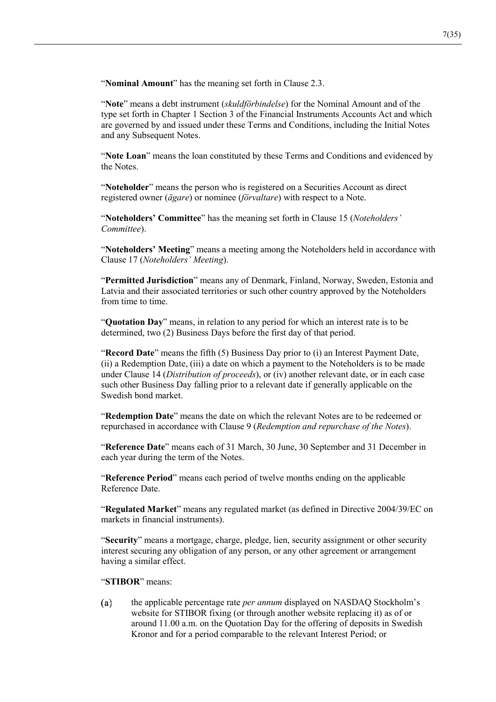"Nominal Amount" has the meaning set forth in Clause 2.3.

"Note" means a debt instrument (skuldförbindelse) for the Nominal Amount and of the type set forth in Chapter 1 Section 3 of the Financial Instruments Accounts Act and which are governed by and issued under these Terms and Conditions, including the Initial Notes and any Subsequent Notes.

"Note Loan" means the loan constituted by these Terms and Conditions and evidenced by the Notes.

"Noteholder" means the person who is registered on a Securities Account as direct registered owner (ägare) or nominee (förvaltare) with respect to a Note.

"Noteholders' Committee" has the meaning set forth in Clause 15 (Noteholders' Committee).

"Noteholders' Meeting" means a meeting among the Noteholders held in accordance with Clause 17 (Noteholders' Meeting).

"Permitted Jurisdiction" means any of Denmark, Finland, Norway, Sweden, Estonia and Latvia and their associated territories or such other country approved by the Noteholders from time to time.

"Ouotation Day" means, in relation to any period for which an interest rate is to be determined, two (2) Business Days before the first day of that period.

"Record Date" means the fifth (5) Business Day prior to (i) an Interest Payment Date, (ii) a Redemption Date, (iii) a date on which a payment to the Noteholders is to be made under Clause 14 (Distribution of proceeds), or (iv) another relevant date, or in each case such other Business Day falling prior to a relevant date if generally applicable on the Swedish bond market.

"Redemption Date" means the date on which the relevant Notes are to be redeemed or repurchased in accordance with Clause 9 (Redemption and repurchase of the Notes).

"Reference Date" means each of 31 March, 30 June, 30 September and 31 December in each year during the term of the Notes.

"Reference Period" means each period of twelve months ending on the applicable Reference Date.

"Regulated Market" means any regulated market (as defined in Directive 2004/39/EC on markets in financial instruments).

"Security" means a mortgage, charge, pledge, lien, security assignment or other security interest securing any obligation of any person, or any other agreement or arrangement having a similar effect.

"STIBOR" means:

 $(a)$ the applicable percentage rate *per annum* displayed on NASDAQ Stockholm's website for STIBOR fixing (or through another website replacing it) as of or around 11.00 a.m. on the Quotation Day for the offering of deposits in Swedish Kronor and for a period comparable to the relevant Interest Period; or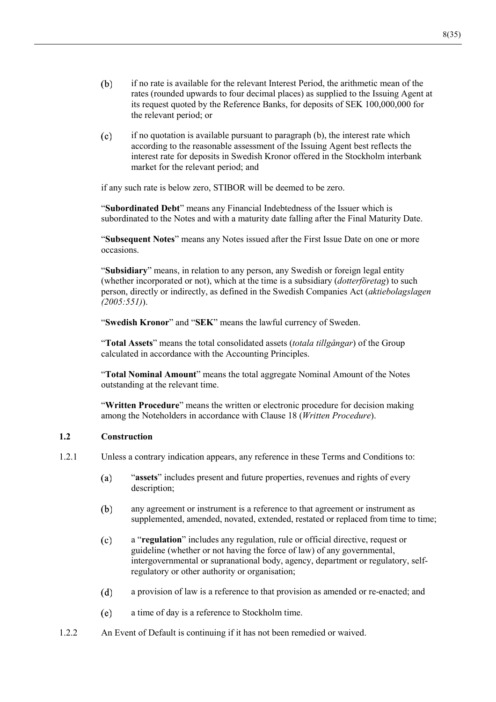- if no rate is available for the relevant Interest Period, the arithmetic mean of the  $(b)$ rates (rounded upwards to four decimal places) as supplied to the Issuing Agent at its request quoted by the Reference Banks, for deposits of SEK 100,000,000 for the relevant period; or
- $(c)$ if no quotation is available pursuant to paragraph (b), the interest rate which according to the reasonable assessment of the Issuing Agent best reflects the interest rate for deposits in Swedish Kronor offered in the Stockholm interbank market for the relevant period; and

if any such rate is below zero, STIBOR will be deemed to be zero.

"Subordinated Debt" means any Financial Indebtedness of the Issuer which is subordinated to the Notes and with a maturity date falling after the Final Maturity Date.

"Subsequent Notes" means any Notes issued after the First Issue Date on one or more occasions.

"Subsidiary" means, in relation to any person, any Swedish or foreign legal entity (whether incorporated or not), which at the time is a subsidiary (*dotterföretag*) to such person, directly or indirectly, as defined in the Swedish Companies Act (aktiebolagslagen  $(2005:551)$ .

"Swedish Kronor" and "SEK" means the lawful currency of Sweden.

"Total Assets" means the total consolidated assets *(totala tillgångar)* of the Group calculated in accordance with the Accounting Principles.

"Total Nominal Amount" means the total aggregate Nominal Amount of the Notes outstanding at the relevant time.

"Written Procedure" means the written or electronic procedure for decision making among the Noteholders in accordance with Clause 18 (Written Procedure).

### $1.2$ Construction

- $1.2.1$ Unless a contrary indication appears, any reference in these Terms and Conditions to:
	- $(a)$ "assets" includes present and future properties, revenues and rights of every description;
	- any agreement or instrument is a reference to that agreement or instrument as  $(b)$ supplemented, amended, novated, extended, restated or replaced from time to time;
	- $(c)$ a "regulation" includes any regulation, rule or official directive, request or guideline (whether or not having the force of law) of any governmental, intergovernmental or supranational body, agency, department or regulatory, selfregulatory or other authority or organisation;
	- $(d)$ a provision of law is a reference to that provision as amended or re-enacted; and
	- $(e)$ a time of day is a reference to Stockholm time.
- $1.2.2$ An Event of Default is continuing if it has not been remedied or waived.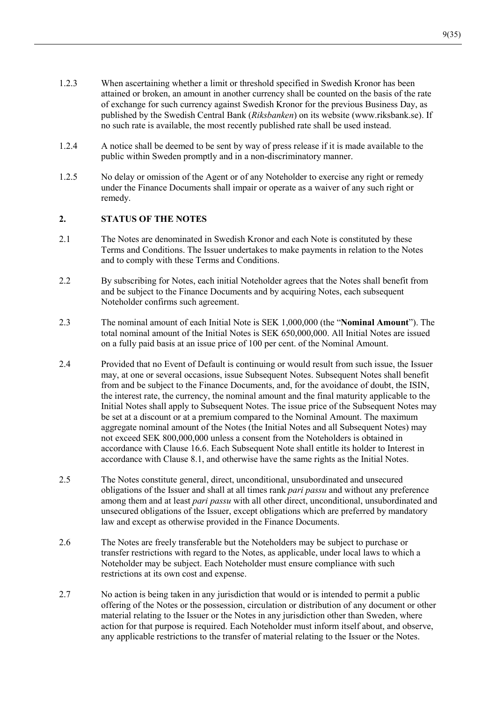- $1.2.3$ When ascertaining whether a limit or threshold specified in Swedish Kronor has been attained or broken, an amount in another currency shall be counted on the basis of the rate of exchange for such currency against Swedish Kronor for the previous Business Day, as published by the Swedish Central Bank (Riksbanken) on its website (www.riksbank.se). If no such rate is available, the most recently published rate shall be used instead.
- $124$ A notice shall be deemed to be sent by way of press release if it is made available to the public within Sweden promptly and in a non-discriminatory manner.
- 1.2.5 No delay or omission of the Agent or of any Noteholder to exercise any right or remedy under the Finance Documents shall impair or operate as a waiver of any such right or remedy.

### $2.$ **STATUS OF THE NOTES**

- $2.1$ The Notes are denominated in Swedish Kronor and each Note is constituted by these Terms and Conditions. The Issuer undertakes to make payments in relation to the Notes and to comply with these Terms and Conditions.
- $2.2$ By subscribing for Notes, each initial Noteholder agrees that the Notes shall benefit from and be subject to the Finance Documents and by acquiring Notes, each subsequent Noteholder confirms such agreement.
- 2.3 The nominal amount of each Initial Note is SEK 1,000,000 (the "Nominal Amount"). The total nominal amount of the Initial Notes is SEK 650,000,000. All Initial Notes are issued on a fully paid basis at an issue price of 100 per cent. of the Nominal Amount.
- $2.4$ Provided that no Event of Default is continuing or would result from such issue, the Issuer may, at one or several occasions, issue Subsequent Notes. Subsequent Notes shall benefit from and be subject to the Finance Documents, and, for the avoidance of doubt, the ISIN, the interest rate, the currency, the nominal amount and the final maturity applicable to the Initial Notes shall apply to Subsequent Notes. The issue price of the Subsequent Notes may be set at a discount or at a premium compared to the Nominal Amount. The maximum aggregate nominal amount of the Notes (the Initial Notes and all Subsequent Notes) may not exceed SEK 800,000,000 unless a consent from the Noteholders is obtained in accordance with Clause 16.6. Each Subsequent Note shall entitle its holder to Interest in accordance with Clause 8.1, and otherwise have the same rights as the Initial Notes.
- 2.5 The Notes constitute general, direct, unconditional, unsubordinated and unsecured obligations of the Issuer and shall at all times rank *pari passu* and without any preference among them and at least *pari passu* with all other direct, unconditional, unsubordinated and unsecured obligations of the Issuer, except obligations which are preferred by mandatory law and except as otherwise provided in the Finance Documents.
- $2.6$ The Notes are freely transferable but the Noteholders may be subject to purchase or transfer restrictions with regard to the Notes, as applicable, under local laws to which a Noteholder may be subject. Each Noteholder must ensure compliance with such restrictions at its own cost and expense.
- 2.7 No action is being taken in any jurisdiction that would or is intended to permit a public offering of the Notes or the possession, circulation or distribution of any document or other material relating to the Issuer or the Notes in any jurisdiction other than Sweden, where action for that purpose is required. Each Noteholder must inform itself about, and observe, any applicable restrictions to the transfer of material relating to the Issuer or the Notes.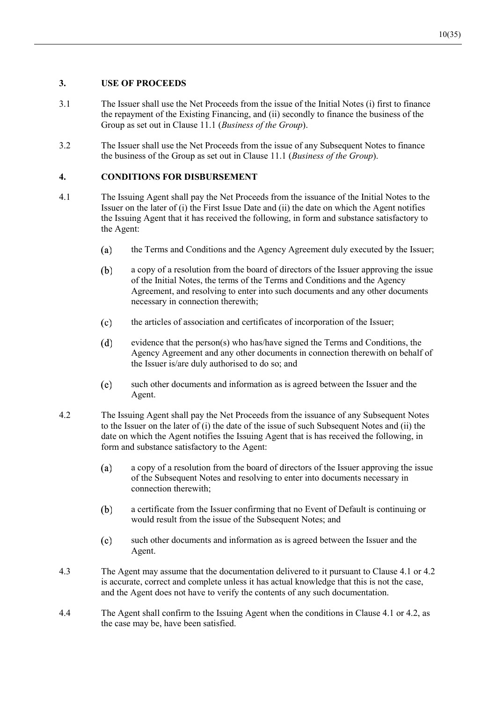### **8. IISE OF PROCEEDS**

- 3.1 The Issuer shall use the Net Proceeds from the issue of the Initial Notes (i) first to finance the repayment of the Existing Financing, and (ii) secondly to finance the business of the Group as set out in Clause 11.1 (Business of the Group).
- 3.2 The Issuer shall use the Net Proceeds from the issue of any Subsequent Notes to finance the business of the Group as set out in Clause 11.1 (*Business of the Group*).

## **4. CONDITIONS FOR DISBURSEMENT**

- 4.1 The Issuing Agent shall pay the Net Proceeds from the issuance of the Initial Notes to the Issuer on the later of  $(i)$  the First Issue Date and  $(ii)$  the date on which the Agent notifies the Issuing Agent that it has received the following, in form and substance satisfactory to the Agent:
	- $(a)$ the Terms and Conditions and the Agency Agreement duly executed by the Issuer;
	- $(b)$ a copy of a resolution from the board of directors of the Issuer approving the issue of the Initial Notes, the terms of the Terms and Conditions and the Agency Agreement, and resolving to enter into such documents and any other documents necessary in connection therewith;
	- $(c)$ the articles of association and certificates of incorporation of the Issuer;
	- $(d)$ evidence that the person(s) who has/have signed the Terms and Conditions, the Agency Agreement and any other documents in connection therewith on behalf of the Issuer is/are duly authorised to do so; and
	- such other documents and information as is agreed between the Issuer and the  $(e)$ Agent.
- 4.2 The Issuing Agent shall pay the Net Proceeds from the issuance of any Subsequent Notes to the Issuer on the later of  $(i)$  the date of the issue of such Subsequent Notes and  $(ii)$  the date on which the Agent notifies the Issuing Agent that is has received the following, in form and substance satisfactory to the Agent:
	- (a) a copy of a resolution from the board of directors of the Issuer approving the issue of the Subsequent Notes and resolving to enter into documents necessary in connection therewith:
	- a certificate from the Issuer confirming that no Event of Default is continuing or (b) would result from the issue of the Subsequent Notes; and
	- $(c)$ such other documents and information as is agreed between the Issuer and the Agent.
- 4.3 The Agent may assume that the documentation delivered to it pursuant to Clause 4.1 or 4.2 is accurate, correct and complete unless it has actual knowledge that this is not the case, and the Agent does not have to verify the contents of any such documentation.
- 4.4 The Agent shall confirm to the Issuing Agent when the conditions in Clause 4.1 or 4.2, as the case may be, have been satisfied.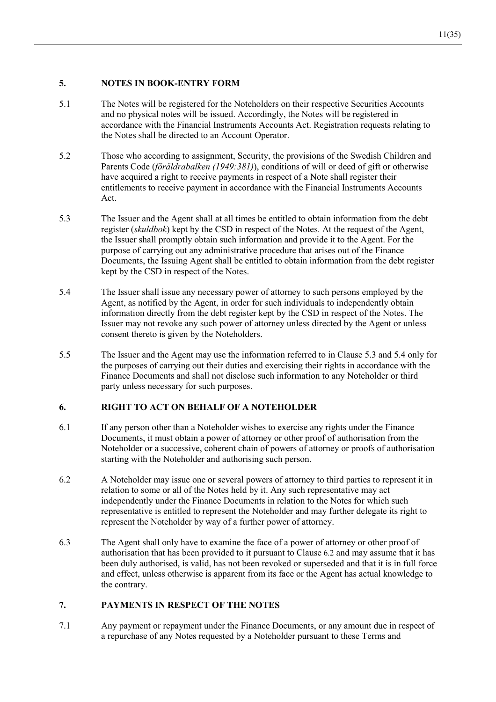### $\overline{5}$ . **NOTES IN BOOK-ENTRY FORM**

- $5.1$ The Notes will be registered for the Noteholders on their respective Securities Accounts and no physical notes will be issued. Accordingly, the Notes will be registered in accordance with the Financial Instruments Accounts Act. Registration requests relating to the Notes shall be directed to an Account Operator.
- $5.2$ Those who according to assignment, Security, the provisions of the Swedish Children and Parents Code (föräldrabalken (1949:381)), conditions of will or deed of gift or otherwise have acquired a right to receive payments in respect of a Note shall register their entitlements to receive payment in accordance with the Financial Instruments Accounts Act.
- 5.3 The Issuer and the Agent shall at all times be entitled to obtain information from the debt register *(skuldbok)* kept by the CSD in respect of the Notes. At the request of the Agent, the Issuer shall promptly obtain such information and provide it to the Agent. For the purpose of carrying out any administrative procedure that arises out of the Finance Documents, the Issuing Agent shall be entitled to obtain information from the debt register kept by the CSD in respect of the Notes.
- 5.4 The Issuer shall issue any necessary power of attorney to such persons employed by the Agent, as notified by the Agent, in order for such individuals to independently obtain information directly from the debt register kept by the CSD in respect of the Notes. The Issuer may not revoke any such power of attorney unless directed by the Agent or unless consent thereto is given by the Noteholders.
- $5.5$ The Issuer and the Agent may use the information referred to in Clause 5.3 and 5.4 only for the purposes of carrying out their duties and exercising their rights in accordance with the Finance Documents and shall not disclose such information to any Noteholder or third party unless necessary for such purposes.

### 6. **RIGHT TO ACT ON BEHALF OF A NOTEHOLDER**

- 6.1 If any person other than a Noteholder wishes to exercise any rights under the Finance Documents, it must obtain a power of attorney or other proof of authorisation from the Noteholder or a successive, coherent chain of powers of attorney or proofs of authorisation starting with the Noteholder and authorising such person.
- 6.2 A Noteholder may issue one or several powers of attorney to third parties to represent it in relation to some or all of the Notes held by it. Any such representative may act independently under the Finance Documents in relation to the Notes for which such representative is entitled to represent the Noteholder and may further delegate its right to represent the Noteholder by way of a further power of attorney.
- 6.3 The Agent shall only have to examine the face of a power of attorney or other proof of authorisation that has been provided to it pursuant to Clause 6.2 and may assume that it has been duly authorised, is valid, has not been revoked or superseded and that it is in full force and effect, unless otherwise is apparent from its face or the Agent has actual knowledge to the contrary.

### PAYMENTS IN RESPECT OF THE NOTES 7.

 $7.1$ Any payment or repayment under the Finance Documents, or any amount due in respect of a repurchase of any Notes requested by a Noteholder pursuant to these Terms and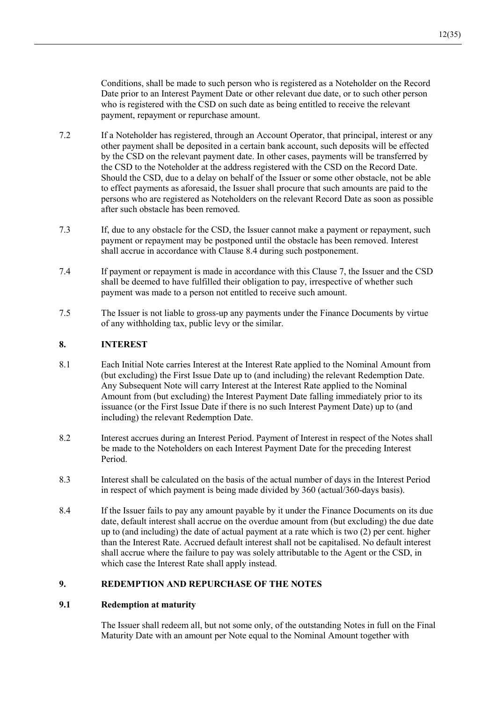Conditions, shall be made to such person who is registered as a Noteholder on the Record Date prior to an Interest Payment Date or other relevant due date, or to such other person who is registered with the CSD on such date as being entitled to receive the relevant payment, repayment or repurchase amount.

- $7.2$ If a Noteholder has registered, through an Account Operator, that principal, interest or any other payment shall be deposited in a certain bank account, such deposits will be effected by the CSD on the relevant payment date. In other cases, payments will be transferred by the CSD to the Noteholder at the address registered with the CSD on the Record Date. Should the CSD, due to a delay on behalf of the Issuer or some other obstacle, not be able to effect payments as aforesaid, the Issuer shall procure that such amounts are paid to the persons who are registered as Noteholders on the relevant Record Date as soon as possible after such obstacle has been removed.
- $7.3$ If, due to any obstacle for the CSD, the Issuer cannot make a payment or repayment, such payment or repayment may be postponed until the obstacle has been removed. Interest shall accrue in accordance with Clause 8.4 during such postponement.
- $7.4$ If payment or repayment is made in accordance with this Clause 7, the Issuer and the CSD shall be deemed to have fulfilled their obligation to pay, irrespective of whether such payment was made to a person not entitled to receive such amount.
- 7.5 The Issuer is not liable to gross-up any payments under the Finance Documents by virtue of any withholding tax, public levy or the similar.

### 8. **INTEREST**

- 8.1 Each Initial Note carries Interest at the Interest Rate applied to the Nominal Amount from (but excluding) the First Issue Date up to (and including) the relevant Redemption Date. Any Subsequent Note will carry Interest at the Interest Rate applied to the Nominal Amount from (but excluding) the Interest Payment Date falling immediately prior to its issuance (or the First Issue Date if there is no such Interest Payment Date) up to (and including) the relevant Redemption Date.
- 8.2 Interest accrues during an Interest Period. Payment of Interest in respect of the Notes shall be made to the Noteholders on each Interest Payment Date for the preceding Interest Period.
- 8.3 Interest shall be calculated on the basis of the actual number of days in the Interest Period in respect of which payment is being made divided by  $360$  (actual/ $360$ -days basis).
- 8.4 If the Issuer fails to pay any amount payable by it under the Finance Documents on its due date, default interest shall accrue on the overdue amount from (but excluding) the due date up to (and including) the date of actual payment at a rate which is two  $(2)$  per cent. higher than the Interest Rate. Accrued default interest shall not be capitalised. No default interest shall accrue where the failure to pay was solely attributable to the Agent or the CSD, in which case the Interest Rate shall apply instead.

### $9<sub>l</sub>$ **REDEMPTION AND REPURCHASE OF THE NOTES**

### $9.1$ **Redemption at maturity**

The Issuer shall redeem all, but not some only, of the outstanding Notes in full on the Final Maturity Date with an amount per Note equal to the Nominal Amount together with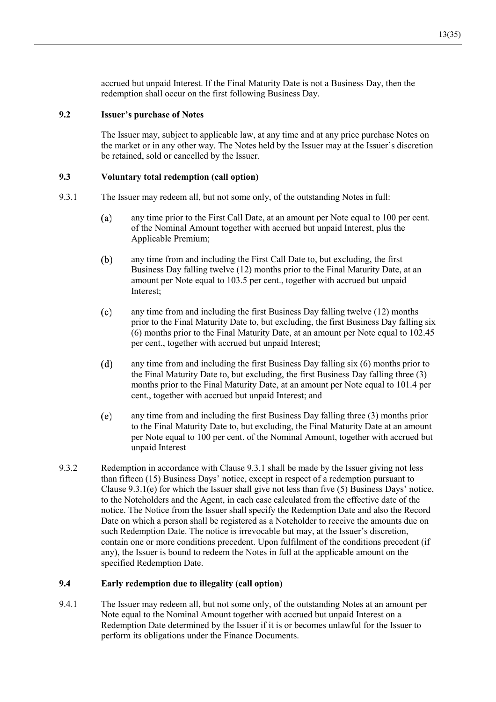accrued but unpaid Interest. If the Final Maturity Date is not a Business Day, then the redemption shall occur on the first following Business Day.

### $9.2$ **Issuer's purchase of Notes**

The Issuer may, subject to applicable law, at any time and at any price purchase Notes on the market or in any other way. The Notes held by the Issuer may at the Issuer's discretion be retained, sold or cancelled by the Issuer.

### $9.3$ Voluntary total redemption (call option)

- 9.3.1 The Issuer may redeem all, but not some only, of the outstanding Notes in full:
	- any time prior to the First Call Date, at an amount per Note equal to 100 per cent.  $(a)$ of the Nominal Amount together with accrued but unpaid Interest, plus the Applicable Premium;
	- $(b)$ any time from and including the First Call Date to, but excluding, the first Business Day falling twelve (12) months prior to the Final Maturity Date, at an amount per Note equal to 103.5 per cent., together with accrued but unpaid Interest:
	- any time from and including the first Business Day falling twelve (12) months  $(c)$ prior to the Final Maturity Date to, but excluding, the first Business Day falling six (6) months prior to the Final Maturity Date, at an amount per Note equal to 102.45 per cent., together with accrued but unpaid Interest;
	- $(d)$ any time from and including the first Business Day falling six (6) months prior to the Final Maturity Date to, but excluding, the first Business Day falling three (3) months prior to the Final Maturity Date, at an amount per Note equal to 101.4 per cent., together with accrued but unpaid Interest; and
	- $(e)$ any time from and including the first Business Day falling three (3) months prior to the Final Maturity Date to, but excluding, the Final Maturity Date at an amount per Note equal to 100 per cent. of the Nominal Amount, together with accrued but unpaid Interest
- 9.3.2 Redemption in accordance with Clause 9.3.1 shall be made by the Issuer giving not less than fifteen (15) Business Days' notice, except in respect of a redemption pursuant to Clause  $9.3.1(e)$  for which the Issuer shall give not less than five (5) Business Days' notice, to the Noteholders and the Agent, in each case calculated from the effective date of the notice. The Notice from the Issuer shall specify the Redemption Date and also the Record Date on which a person shall be registered as a Noteholder to receive the amounts due on such Redemption Date. The notice is irrevocable but may, at the Issuer's discretion, contain one or more conditions precedent. Upon fulfilment of the conditions precedent (if any), the Issuer is bound to redeem the Notes in full at the applicable amount on the specified Redemption Date.

### $9.4$ Early redemption due to illegality (call option)

9.4.1 The Issuer may redeem all, but not some only, of the outstanding Notes at an amount per Note equal to the Nominal Amount together with accrued but unpaid Interest on a Redemption Date determined by the Issuer if it is or becomes unlawful for the Issuer to perform its obligations under the Finance Documents.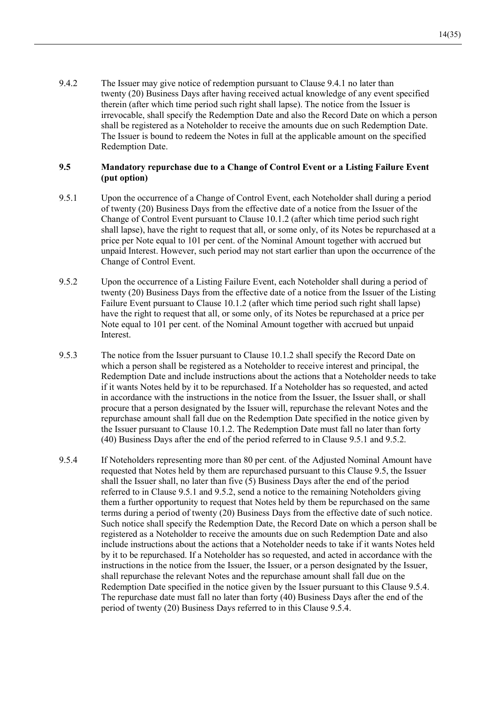9.4.2 The Issuer may give notice of redemption pursuant to Clause 9.4.1 no later than twenty (20) Business Days after having received actual knowledge of any event specified therein (after which time period such right shall lapse). The notice from the Issuer is irrevocable, shall specify the Redemption Date and also the Record Date on which a person shall be registered as a Noteholder to receive the amounts due on such Redemption Date. The Issuer is bound to redeem the Notes in full at the applicable amount on the specified Redemption Date.

### $9.5$ Mandatory repurchase due to a Change of Control Event or a Listing Failure Event (put option)

- 9.5.1 Upon the occurrence of a Change of Control Event, each Noteholder shall during a period of twenty (20) Business Days from the effective date of a notice from the Issuer of the Change of Control Event pursuant to Clause 10.1.2 (after which time period such right shall lapse), have the right to request that all, or some only, of its Notes be repurchased at a price per Note equal to 101 per cent. of the Nominal Amount together with accrued but unpaid Interest. However, such period may not start earlier than upon the occurrence of the Change of Control Event.
- 9.5.2 Upon the occurrence of a Listing Failure Event, each Noteholder shall during a period of twenty (20) Business Days from the effective date of a notice from the Issuer of the Listing Failure Event pursuant to Clause 10.1.2 (after which time period such right shall lapse) have the right to request that all, or some only, of its Notes be repurchased at a price per Note equal to 101 per cent. of the Nominal Amount together with accrued but unpaid Interest.
- 9.5.3 The notice from the Issuer pursuant to Clause 10.1.2 shall specify the Record Date on which a person shall be registered as a Noteholder to receive interest and principal, the Redemption Date and include instructions about the actions that a Noteholder needs to take if it wants Notes held by it to be repurchased. If a Noteholder has so requested, and acted in accordance with the instructions in the notice from the Issuer, the Issuer shall, or shall procure that a person designated by the Issuer will, repurchase the relevant Notes and the repurchase amount shall fall due on the Redemption Date specified in the notice given by the Issuer pursuant to Clause 10.1.2. The Redemption Date must fall no later than forty (40) Business Days after the end of the period referred to in Clause 9.5.1 and 9.5.2.
- 9.5.4 If Noteholders representing more than 80 per cent. of the Adjusted Nominal Amount have requested that Notes held by them are repurchased pursuant to this Clause 9.5, the Issuer shall the Issuer shall, no later than five (5) Business Days after the end of the period referred to in Clause 9.5.1 and 9.5.2, send a notice to the remaining Noteholders giving them a further opportunity to request that Notes held by them be repurchased on the same terms during a period of twenty (20) Business Days from the effective date of such notice. Such notice shall specify the Redemption Date, the Record Date on which a person shall be registered as a Noteholder to receive the amounts due on such Redemption Date and also include instructions about the actions that a Noteholder needs to take if it wants Notes held by it to be repurchased. If a Noteholder has so requested, and acted in accordance with the instructions in the notice from the Issuer, the Issuer, or a person designated by the Issuer, shall repurchase the relevant Notes and the repurchase amount shall fall due on the Redemption Date specified in the notice given by the Issuer pursuant to this Clause 9.5.4. The repurchase date must fall no later than forty (40) Business Days after the end of the period of twenty (20) Business Days referred to in this Clause 9.5.4.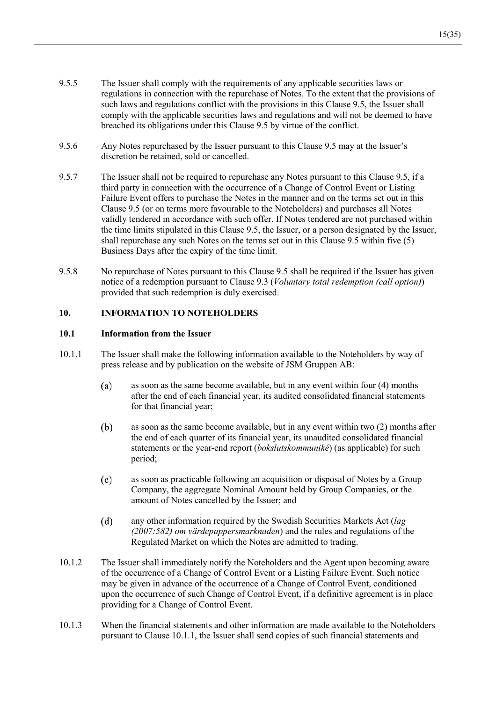- 9.5.5 The Issuer shall comply with the requirements of any applicable securities laws or regulations in connection with the repurchase of Notes. To the extent that the provisions of such laws and regulations conflict with the provisions in this Clause 9.5, the Issuer shall comply with the applicable securities laws and regulations and will not be deemed to have breached its obligations under this Clause 9.5 by virtue of the conflict.
- $956$ Any Notes repurchased by the Issuer pursuant to this Clause 9.5 may at the Issuer's discretion be retained, sold or cancelled.
- 9.5.7 The Issuer shall not be required to repurchase any Notes pursuant to this Clause 9.5, if a third party in connection with the occurrence of a Change of Control Event or Listing Failure Event offers to purchase the Notes in the manner and on the terms set out in this Clause 9.5 (or on terms more favourable to the Noteholders) and purchases all Notes validly tendered in accordance with such offer. If Notes tendered are not purchased within the time limits stipulated in this Clause 9.5, the Issuer, or a person designated by the Issuer, shall repurchase any such Notes on the terms set out in this Clause 9.5 within five (5) Business Days after the expiry of the time limit.
- 9.5.8 No repurchase of Notes pursuant to this Clause 9.5 shall be required if the Issuer has given notice of a redemption pursuant to Clause 9.3 (*Voluntary total redemption (call option)*) provided that such redemption is duly exercised.

### $10.$ **INFORMATION TO NOTEHOLDERS**

### $10.1$ **Information from the Issuer**

- $10.1.1$ The Issuer shall make the following information available to the Noteholders by way of press release and by publication on the website of JSM Gruppen AB:
	- as soon as the same become available, but in any event within four (4) months  $(a)$ after the end of each financial year, its audited consolidated financial statements for that financial year;
	- $(b)$ as soon as the same become available, but in any event within two (2) months after the end of each quarter of its financial year, its unaudited consolidated financial statements or the year-end report (bokslutskommuniké) (as applicable) for such period;
	- $(c)$ as soon as practicable following an acquisition or disposal of Notes by a Group Company, the aggregate Nominal Amount held by Group Companies, or the amount of Notes cancelled by the Issuer; and
	- $(d)$ any other information required by the Swedish Securities Markets Act (lag)  $(2007:582)$  om värdepappersmarknaden) and the rules and regulations of the Regulated Market on which the Notes are admitted to trading.
- $10.1.2$ The Issuer shall immediately notify the Noteholders and the Agent upon becoming aware of the occurrence of a Change of Control Event or a Listing Failure Event. Such notice may be given in advance of the occurrence of a Change of Control Event, conditioned upon the occurrence of such Change of Control Event, if a definitive agreement is in place providing for a Change of Control Event.
- $10.1.3$ When the financial statements and other information are made available to the Noteholders pursuant to Clause 10.1.1, the Issuer shall send copies of such financial statements and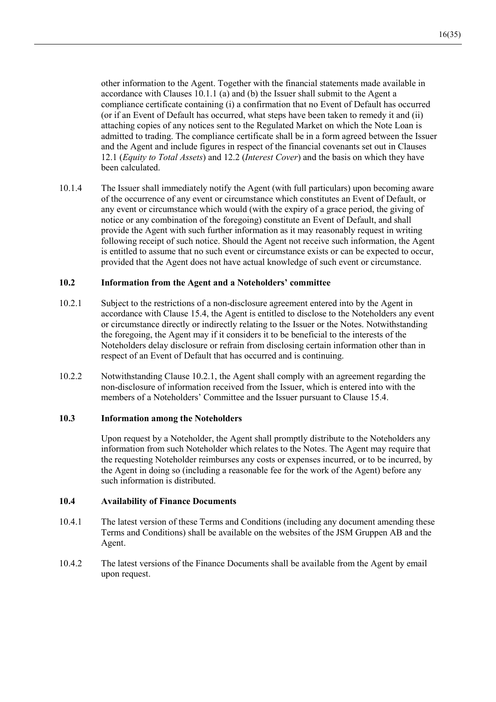other information to the Agent. Together with the financial statements made available in accordance with Clauses 10.1.1 (a) and (b) the Issuer shall submit to the Agent a compliance certificate containing (i) a confirmation that no Event of Default has occurred (or if an Event of Default has occurred, what steps have been taken to remedy it and (ii) attaching copies of any notices sent to the Regulated Market on which the Note Loan is admitted to trading. The compliance certificate shall be in a form agreed between the Issuer and the Agent and include figures in respect of the financial covenants set out in Clauses 12.1 (*Equity to Total Assets*) and 12.2 (*Interest Cover*) and the basis on which they have been calculated.

10.1.4 The Issuer shall immediately notify the Agent (with full particulars) upon becoming aware of the occurrence of any event or circumstance which constitutes an Event of Default, or any event or circumstance which would (with the expiry of a grace period, the giving of notice or any combination of the foregoing) constitute an Event of Default, and shall provide the Agent with such further information as it may reasonably request in writing following receipt of such notice. Should the Agent not receive such information, the Agent is entitled to assume that no such event or circumstance exists or can be expected to occur, provided that the Agent does not have actual knowledge of such event or circumstance.

#### $10.2$ Information from the Agent and a Noteholders' committee

- 10.2.1 Subject to the restrictions of a non-disclosure agreement entered into by the Agent in accordance with Clause 15.4, the Agent is entitled to disclose to the Noteholders any event or circumstance directly or indirectly relating to the Issuer or the Notes. Notwithstanding the foregoing, the Agent may if it considers it to be beneficial to the interests of the Noteholders delay disclosure or refrain from disclosing certain information other than in respect of an Event of Default that has occurred and is continuing.
- $10.2.2$ Notwithstanding Clause 10.2.1, the Agent shall comply with an agreement regarding the non-disclosure of information received from the Issuer, which is entered into with the members of a Noteholders' Committee and the Issuer pursuant to Clause 15.4.

### $10.3$ **Information among the Noteholders**

Upon request by a Noteholder, the Agent shall promptly distribute to the Noteholders any information from such Noteholder which relates to the Notes. The Agent may require that the requesting Noteholder reimburses any costs or expenses incurred, or to be incurred, by the Agent in doing so (including a reasonable fee for the work of the Agent) before any such information is distributed.

#### $10.4$ **Availability of Finance Documents**

- 10.4.1 The latest version of these Terms and Conditions (including any document amending these Terms and Conditions) shall be available on the websites of the JSM Gruppen AB and the Agent.
- $10.4.2$ The latest versions of the Finance Documents shall be available from the Agent by email upon request.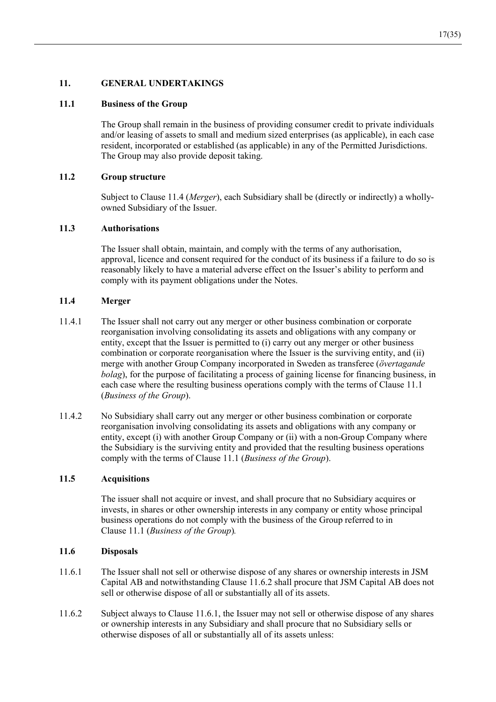### $11.$ **GENERAL UNDERTAKINGS**

### 11.1 **Business of the Group**

The Group shall remain in the business of providing consumer credit to private individuals and/or leasing of assets to small and medium sized enterprises (as applicable), in each case resident, incorporated or established (as applicable) in any of the Permitted Jurisdictions. The Group may also provide deposit taking.

#### 11.2 **Group structure**

Subject to Clause 11.4 (*Merger*), each Subsidiary shall be (directly or indirectly) a whollyowned Subsidiary of the Issuer.

### $11.3$ **Authorisations**

The Issuer shall obtain, maintain, and comply with the terms of any authorisation, approval, licence and consent required for the conduct of its business if a failure to do so is reasonably likely to have a material adverse effect on the Issuer's ability to perform and comply with its payment obligations under the Notes.

#### $11.4$ Merger

- $11.4.1$ The Issuer shall not carry out any merger or other business combination or corporate reorganisation involving consolidating its assets and obligations with any company or entity, except that the Issuer is permitted to (i) carry out any merger or other business combination or corporate reorganisation where the Issuer is the surviving entity, and (ii) merge with another Group Company incorporated in Sweden as transferee (övertagande bolag), for the purpose of facilitating a process of gaining license for financing business, in each case where the resulting business operations comply with the terms of Clause 11.1 (Business of the Group).
- 11.4.2 No Subsidiary shall carry out any merger or other business combination or corporate reorganisation involving consolidating its assets and obligations with any company or entity, except (i) with another Group Company or (ii) with a non-Group Company where the Subsidiary is the surviving entity and provided that the resulting business operations comply with the terms of Clause 11.1 (Business of the Group).

### 11.5 **Acquisitions**

The issuer shall not acquire or invest, and shall procure that no Subsidiary acquires or invests, in shares or other ownership interests in any company or entity whose principal business operations do not comply with the business of the Group referred to in Clause 11.1 (Business of the Group).

### 11.6 **Disposals**

- 11.6.1 The Issuer shall not sell or otherwise dispose of any shares or ownership interests in JSM Capital AB and notwithstanding Clause 11.6.2 shall procure that JSM Capital AB does not sell or otherwise dispose of all or substantially all of its assets.
- Subject always to Clause 11.6.1, the Issuer may not sell or otherwise dispose of any shares 11.6.2 or ownership interests in any Subsidiary and shall procure that no Subsidiary sells or otherwise disposes of all or substantially all of its assets unless: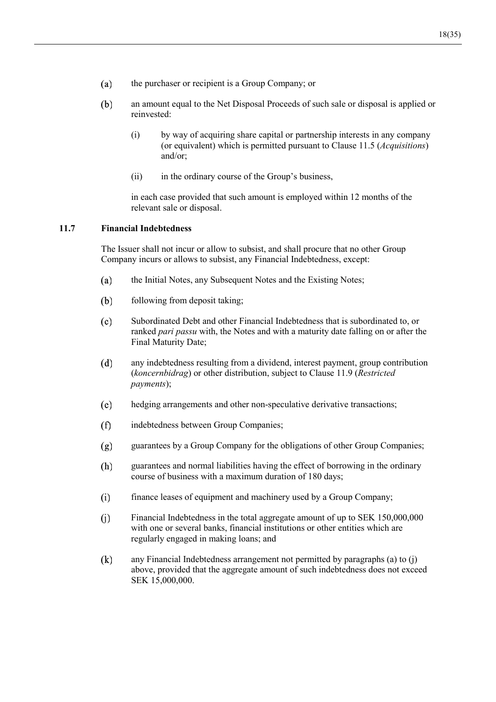- $(a)$ the purchaser or recipient is a Group Company; or
- $(b)$ an amount equal to the Net Disposal Proceeds of such sale or disposal is applied or reinvested:
	- $(i)$ by way of acquiring share capital or partnership interests in any company (or equivalent) which is permitted pursuant to Clause 11.5 (*Acquisitions*) and/or:
	- $(ii)$ in the ordinary course of the Group's business,

in each case provided that such amount is employed within 12 months of the relevant sale or disposal.

### **Financial Indebtedness**  $11.7$

The Issuer shall not incur or allow to subsist, and shall procure that no other Group Company incurs or allows to subsist, any Financial Indebtedness, except:

- the Initial Notes, any Subsequent Notes and the Existing Notes;  $(a)$
- following from deposit taking;  $(b)$
- Subordinated Debt and other Financial Indebtedness that is subordinated to, or  $(c)$ ranked *pari passu* with, the Notes and with a maturity date falling on or after the Final Maturity Date;
- $(d)$ any indebtedness resulting from a dividend, interest payment, group contribution (koncernbidrag) or other distribution, subject to Clause 11.9 (Restricted payments);
- $(e)$ hedging arrangements and other non-speculative derivative transactions;
- indebtedness between Group Companies;  $(f)$
- guarantees by a Group Company for the obligations of other Group Companies;  $(g)$
- guarantees and normal liabilities having the effect of borrowing in the ordinary (h) course of business with a maximum duration of 180 days;
- $(i)$ finance leases of equipment and machinery used by a Group Company;
- $(i)$ Financial Indebtedness in the total aggregate amount of up to SEK 150,000,000 with one or several banks, financial institutions or other entities which are regularly engaged in making loans; and
- $(k)$ any Financial Indebtedness arrangement not permitted by paragraphs (a) to (j) above, provided that the aggregate amount of such indebtedness does not exceed SEK 15,000,000.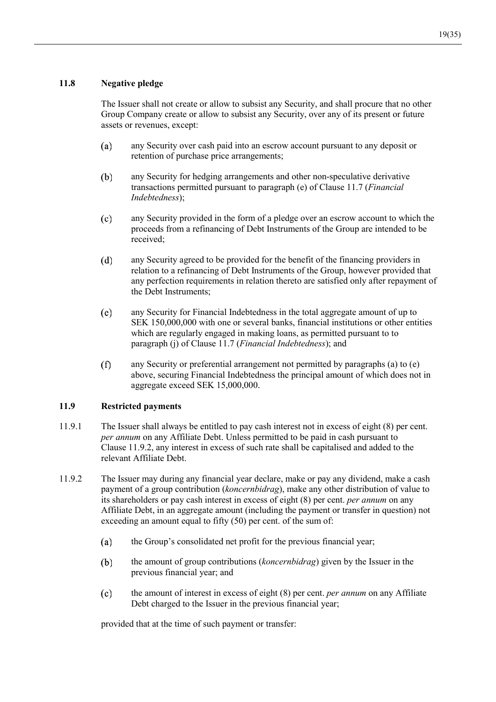### 11.8 Negative pledge

The Issuer shall not create or allow to subsist any Security, and shall procure that no other Group Company create or allow to subsist any Security, over any of its present or future assets or revenues, except:

- any Security over cash paid into an escrow account pursuant to any deposit or  $(a)$ retention of purchase price arrangements;
- $(b)$ any Security for hedging arrangements and other non-speculative derivative transactions permitted pursuant to paragraph (e) of Clause 11.7 (*Financial Indebtedness*
- $(c)$ any Security provided in the form of a pledge over an escrow account to which the proceeds from a refinancing of Debt Instruments of the Group are intended to be received:
- $(d)$ any Security agreed to be provided for the benefit of the financing providers in relation to a refinancing of Debt Instruments of the Group, however provided that any perfection requirements in relation thereto are satisfied only after repayment of the Debt Instruments:
- $(e)$ any Security for Financial Indebtedness in the total aggregate amount of up to SEK 150,000,000 with one or several banks, financial institutions or other entities which are regularly engaged in making loans, as permitted pursuant to to paragraph (j) of Clause 11.7 (*Financial Indebtedness*); and
- $(f)$ any Security or preferential arrangement not permitted by paragraphs (a) to (e) above, securing Financial Indebtedness the principal amount of which does not in aggregate exceed SEK 15,000,000.

### 11.9 **Restricted payments**

- 11.9.1 The Issuer shall always be entitled to pay cash interest not in excess of eight  $(8)$  per cent. *per annum* on any Affiliate Debt. Unless permitted to be paid in cash pursuant to Clause  $11.9.2$ , any interest in excess of such rate shall be capitalised and added to the relevant Affiliate Debt.
- 11.9.2 The Issuer may during any financial year declare, make or pay any dividend, make a cash payment of a group contribution (*koncernbidrag*), make any other distribution of value to its shareholders or pay cash interest in excess of eight (8) per cent. *per annum* on any Affiliate Debt, in an aggregate amount (including the payment or transfer in question) not exceeding an amount equal to fifty  $(50)$  per cent. of the sum of:
	- $(a)$ the Group's consolidated net profit for the previous financial year;
	- $(b)$ the amount of group contributions (koncernbidrag) given by the Issuer in the previous financial year; and
	- the amount of interest in excess of eight (8) per cent. *per annum* on any Affiliate  $(c)$ Debt charged to the Issuer in the previous financial year;

provided that at the time of such payment or transfer: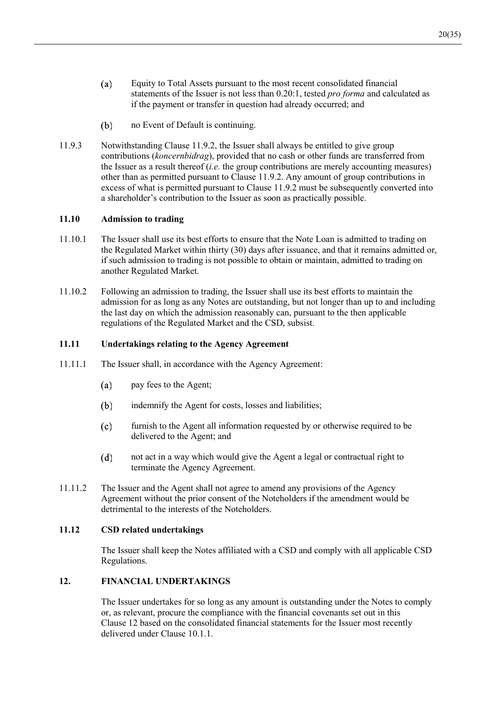- $(a)$ Equity to Total Assets pursuant to the most recent consolidated financial statements of the Issuer is not less than 0.20:1, tested pro forma and calculated as if the payment or transfer in question had already occurred; and
- $(b)$ no Event of Default is continuing.
- 11.9.3 Notwithstanding Clause 11.9.2, the Issuer shall always be entitled to give group contributions (koncernbidrag), provided that no cash or other funds are transferred from the Issuer as a result thereof  $(i.e.$  the group contributions are merely accounting measures) other than as permitted pursuant to Clause 11.9.2. Any amount of group contributions in excess of what is permitted pursuant to Clause 11.9.2 must be subsequently converted into a shareholder's contribution to the Issuer as soon as practically possible.

### 11.10 **Admission to trading**

- 11.10.1 The Issuer shall use its best efforts to ensure that the Note Loan is admitted to trading on the Regulated Market within thirty (30) days after issuance, and that it remains admitted or, if such admission to trading is not possible to obtain or maintain, admitted to trading on another Regulated Market.
- $11.10.2$ Following an admission to trading, the Issuer shall use its best efforts to maintain the admission for as long as any Notes are outstanding, but not longer than up to and including the last day on which the admission reasonably can, pursuant to the then applicable regulations of the Regulated Market and the CSD, subsist.

### $11.11$ **Undertakings relating to the Agency Agreement**

- $11111$ The Issuer shall, in accordance with the Agency Agreement:
	- $(a)$ pay fees to the Agent;
	- $(b)$ indemnify the Agent for costs, losses and liabilities;
	- $(c)$ furnish to the Agent all information requested by or otherwise required to be delivered to the Agent; and
	- $(d)$ not act in a way which would give the Agent a legal or contractual right to terminate the Agency Agreement.
- 11.11.2 The Issuer and the Agent shall not agree to amend any provisions of the Agency A greement without the prior consent of the Noteholders if the amendment would be detrimental to the interests of the Noteholders.

### $11.12$ **CSD** related undertakings

The Issuer shall keep the Notes affiliated with a CSD and comply with all applicable CSD Regulations.

### $12<sup>12</sup>$ **FINANCIAL UNDERTAKINGS**

The Issuer undertakes for so long as any amount is outstanding under the Notes to comply or, as relevant, procure the compliance with the financial covenants set out in this Clause 12 based on the consolidated financial statements for the Issuer most recently delivered under Clause 10.1.1.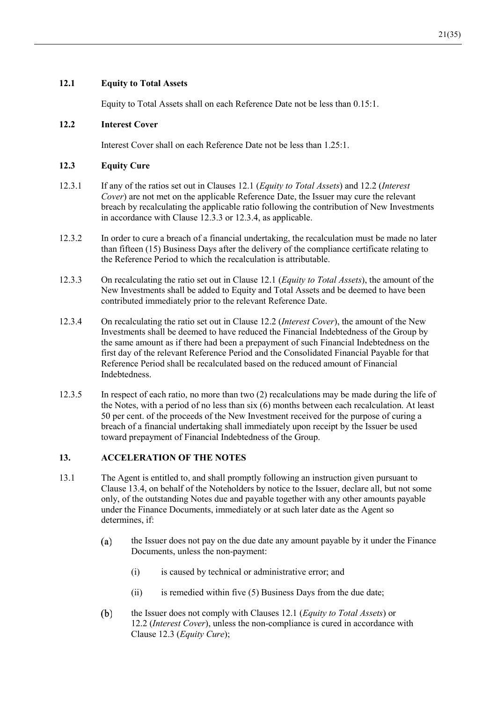# **12.1** Equity to Total Assets

Equity to Total Assets shall on each Reference Date not be less than 0.15:1.

## 12.2 **Interest Cover**

Interest Cover shall on each Reference Date not be less than 1.25:1.

# 12.3 Equity Cure

- 12.3.1 If any of the ratios set out in Clauses 12.1 (*Equity to Total Assets*) and 12.2 (*Interest Cover*) are not met on the applicable Reference Date, the Issuer may cure the relevant breach by recalculating the applicable ratio following the contribution of New Investments in accordance with Clause  $12.3.3$  or  $12.3.4$ , as applicable.
- 12.3.2 In order to cure a breach of a financial undertaking, the recalculation must be made no later than fifteen (15) Business Days after the delivery of the compliance certificate relating to the Reference Period to which the recalculation is attributable.
- 12.3.3 On recalculating the ratio set out in Clause 12.1 (*Equity to Total Assets*), the amount of the New Investments shall be added to Equity and Total Assets and be deemed to have been contributed immediately prior to the relevant Reference Date.
- 12.3.4 On recalculating the ratio set out in Clause 12.2 (*Interest Cover*), the amount of the New Investments shall be deemed to have reduced the Financial Indebtedness of the Group by the same amount as if there had been a prepayment of such Financial Indebtedness on the first day of the relevant Reference Period and the Consolidated Financial Payable for that Reference Period shall be recalculated based on the reduced amount of Financial Indebtedness.
- 12.3.5 In respect of each ratio, no more than two  $(2)$  recalculations may be made during the life of the Notes, with a period of no less than  $s$ ix  $(6)$  months between each recalculation. At least 50 per cent. of the proceeds of the New Investment received for the purpose of curing a breach of a financial undertaking shall immediately upon receipt by the Issuer be used toward prepayment of Financial Indebtedness of the Group.

## **\$&&(/(5\$7,212)7+(127(6**

- 13.1 The Agent is entitled to, and shall promptly following an instruction given pursuant to Clause 13.4, on behalf of the Noteholders by notice to the Issuer, declare all, but not some only, of the outstanding Notes due and payable together with any other amounts payable under the Finance Documents, immediately or at such later date as the Agent so determines, if:
	- $(a)$ the Issuer does not pay on the due date any amount payable by it under the Finance Documents, unless the non-payment:
		- $(i)$  is caused by technical or administrative error; and
		- $\text{(ii)}$  is remedied within five (5) Business Days from the due date;
	- $(b)$ the Issuer does not comply with Clauses 12.1 (*Equity to Total Assets*) or 12.2 (*Interest Cover*), unless the non-compliance is cured in accordance with Clause 12.3 (Equity Cure);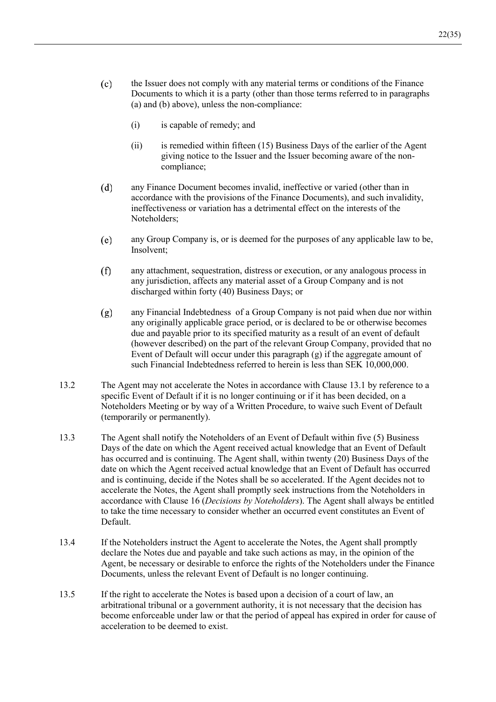- $(c)$ the Issuer does not comply with any material terms or conditions of the Finance Documents to which it is a party (other than those terms referred to in paragraphs (a) and (b) above), unless the non-compliance:
	- $(i)$ is capable of remedy; and
	- $(ii)$ is remedied within fifteen (15) Business Days of the earlier of the Agent giving notice to the Issuer and the Issuer becoming aware of the noncompliance:
- $(d)$ any Finance Document becomes invalid, ineffective or varied (other than in accordance with the provisions of the Finance Documents), and such invalidity, ineffectiveness or variation has a detrimental effect on the interests of the Noteholders:
- $(e)$ any Group Company is, or is deemed for the purposes of any applicable law to be, Insolvent:
- any attachment, sequestration, distress or execution, or any analogous process in  $(f)$ any jurisdiction, affects any material asset of a Group Company and is not discharged within forty (40) Business Days; or
- $(g)$ any Financial Indebtedness of a Group Company is not paid when due nor within any originally applicable grace period, or is declared to be or otherwise becomes due and payable prior to its specified maturity as a result of an event of default (however described) on the part of the relevant Group Company, provided that no Event of Default will occur under this paragraph  $(g)$  if the aggregate amount of such Financial Indebtedness referred to herein is less than SEK 10.000.000.
- 13.2 The Agent may not accelerate the Notes in accordance with Clause 13.1 by reference to a specific Event of Default if it is no longer continuing or if it has been decided, on a Noteholders Meeting or by way of a Written Procedure, to waive such Event of Default (temporarily or permanently).
- 13.3 The Agent shall notify the Noteholders of an Event of Default within five (5) Business Days of the date on which the Agent received actual knowledge that an Event of Default has occurred and is continuing. The Agent shall, within twenty (20) Business Days of the date on which the Agent received actual knowledge that an Event of Default has occurred and is continuing, decide if the Notes shall be so accelerated. If the Agent decides not to accelerate the Notes, the Agent shall promptly seek instructions from the Noteholders in accordance with Clause 16 (Decisions by Noteholders). The Agent shall always be entitled to take the time necessary to consider whether an occurred event constitutes an Event of Default.
- 13.4 If the Noteholders instruct the Agent to accelerate the Notes, the Agent shall promptly declare the Notes due and payable and take such actions as may, in the opinion of the Agent, be necessary or desirable to enforce the rights of the Noteholders under the Finance Documents, unless the relevant Event of Default is no longer continuing.
- 13.5 If the right to accelerate the Notes is based upon a decision of a court of law, an arbitrational tribunal or a government authority, it is not necessary that the decision has become enforceable under law or that the period of appeal has expired in order for cause of acceleration to be deemed to exist.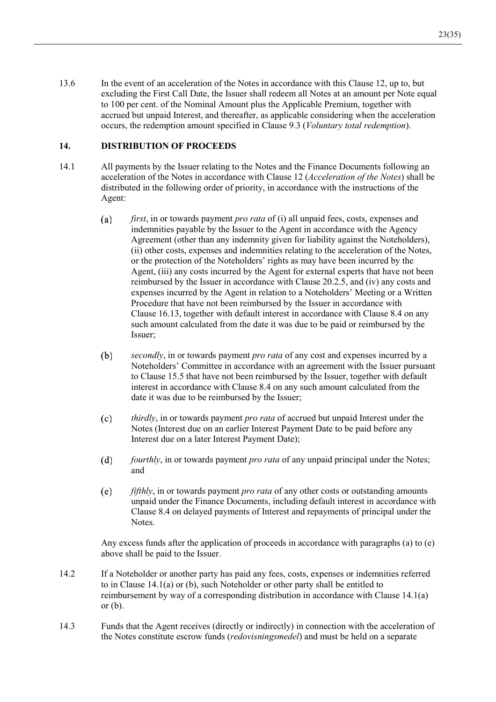13.6 In the event of an acceleration of the Notes in accordance with this Clause 12, up to, but excluding the First Call Date, the Issuer shall redeem all Notes at an amount per Note equal to 100 per cent. of the Nominal Amount plus the Applicable Premium, together with accrued but unpaid Interest, and thereafter, as applicable considering when the acceleration occurs, the redemption amount specified in Clause 9.3 (Voluntary total redemption).

### $14.$ **DISTRIBUTION OF PROCEEDS**

- $14.1$ All payments by the Issuer relating to the Notes and the Finance Documents following an acceleration of the Notes in accordance with Clause 12 (Acceleration of the Notes) shall be distributed in the following order of priority, in accordance with the instructions of the Agent:
	- $(a)$ *first*, in or towards payment *pro rata* of (i) all unpaid fees, costs, expenses and indemnities payable by the Issuer to the Agent in accordance with the Agency Agreement (other than any indemnity given for liability against the Noteholders), (ii) other costs, expenses and indemnities relating to the acceleration of the Notes, or the protection of the Noteholders' rights as may have been incurred by the Agent, (iii) any costs incurred by the Agent for external experts that have not been reimbursed by the Issuer in accordance with Clause 20.2.5, and (iv) any costs and expenses incurred by the Agent in relation to a Noteholders' Meeting or a Written Procedure that have not been reimbursed by the Issuer in accordance with Clause 16.13, together with default interest in accordance with Clause 8.4 on any such amount calculated from the date it was due to be paid or reimbursed by the Issuer:
	- $(b)$ *secondly*, in or towards payment *pro rata* of any cost and expenses incurred by a Noteholders' Committee in accordance with an agreement with the Issuer pursuant to Clause 15.5 that have not been reimbursed by the Issuer, together with default interest in accordance with Clause 8.4 on any such amount calculated from the date it was due to be reimbursed by the Issuer;
	- $(c)$ *thirdly*, in or towards payment *pro rata* of accrued but unpaid Interest under the Notes (Interest due on an earlier Interest Payment Date to be paid before any Interest due on a later Interest Payment Date);
	- $(d)$ fourthly, in or towards payment pro rata of any unpaid principal under the Notes; and
	- $(e)$ *fifthly*, in or towards payment *pro rata* of any other costs or outstanding amounts unpaid under the Finance Documents, including default interest in accordance with Clause 8.4 on delayed payments of Interest and repayments of principal under the Notes.

Any excess funds after the application of proceeds in accordance with paragraphs (a) to (e) above shall be paid to the Issuer.

- $14.2$ If a Noteholder or another party has paid any fees, costs, expenses or indemnities referred to in Clause 14.1(a) or (b), such Noteholder or other party shall be entitled to reimbursement by way of a corresponding distribution in accordance with Clause 14.1(a) or  $(b)$ .
- 14.3 Funds that the Agent receives (directly or indirectly) in connection with the acceleration of the Notes constitute escrow funds *(redovisningsmedel)* and must be held on a separate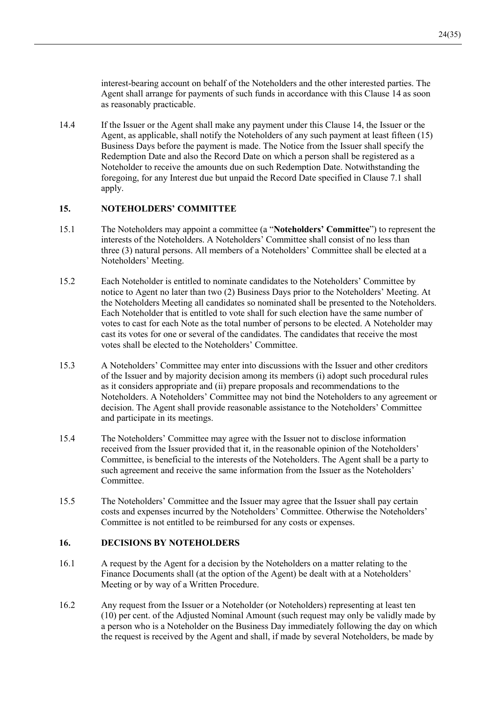interest-bearing account on behalf of the Noteholders and the other interested parties. The Agent shall arrange for payments of such funds in accordance with this Clause 14 as soon as reasonably practicable.

14.4 If the Issuer or the Agent shall make any payment under this Clause 14, the Issuer or the Agent, as applicable, shall notify the Noteholders of any such payment at least fifteen (15) Business Days before the payment is made. The Notice from the Issuer shall specify the Redemption Date and also the Record Date on which a person shall be registered as a Noteholder to receive the amounts due on such Redemption Date. Notwithstanding the foregoing, for any Interest due but unpaid the Record Date specified in Clause 7.1 shall apply.

### **NOTEHOLDERS' COMMITTEE**  $15.$

- 15.1 The Noteholders may appoint a committee (a "Noteholders' Committee") to represent the interests of the Noteholders. A Noteholders' Committee shall consist of no less than three (3) natural persons. All members of a Noteholders' Committee shall be elected at a Noteholders' Meeting.
- $15.2$ Each Noteholder is entitled to nominate candidates to the Noteholders' Committee by notice to Agent no later than two (2) Business Days prior to the Noteholders' Meeting. At the Noteholders Meeting all candidates so nominated shall be presented to the Noteholders. Each Noteholder that is entitled to vote shall for such election have the same number of votes to cast for each Note as the total number of persons to be elected. A Noteholder may cast its votes for one or several of the candidates. The candidates that receive the most votes shall be elected to the Noteholders' Committee.
- 15.3 A Noteholders' Committee may enter into discussions with the Issuer and other creditors of the Issuer and by majority decision among its members (i) adopt such procedural rules as it considers appropriate and (ii) prepare proposals and recommendations to the Noteholders. A Noteholders' Committee may not bind the Noteholders to any agreement or decision. The Agent shall provide reasonable assistance to the Noteholders' Committee and participate in its meetings.
- 15.4 The Noteholders' Committee may agree with the Issuer not to disclose information received from the Issuer provided that it, in the reasonable opinion of the Noteholders' Committee, is beneficial to the interests of the Noteholders. The Agent shall be a party to such agreement and receive the same information from the Issuer as the Noteholders' Committee.
- 15.5 The Noteholders' Committee and the Issuer may agree that the Issuer shall pay certain costs and expenses incurred by the Noteholders' Committee. Otherwise the Noteholders' Committee is not entitled to be reimbursed for any costs or expenses.

### 16. **DECISIONS BY NOTEHOLDERS**

- $16.1$ A request by the Agent for a decision by the Noteholders on a matter relating to the Finance Documents shall (at the option of the Agent) be dealt with at a Noteholders' Meeting or by way of a Written Procedure.
- 16.2 Any request from the Issuer or a Noteholder (or Noteholders) representing at least ten (10) per cent. of the Adjusted Nominal Amount (such request may only be validly made by a person who is a Noteholder on the Business Day immediately following the day on which the request is received by the Agent and shall, if made by several Noteholders, be made by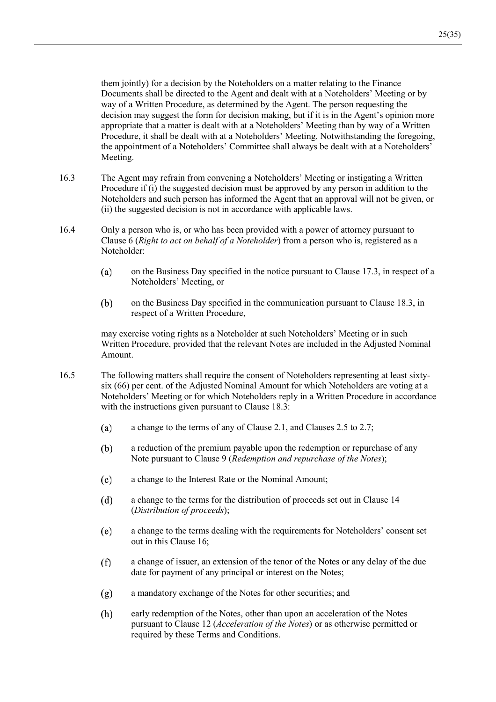them jointly) for a decision by the Noteholders on a matter relating to the Finance Documents shall be directed to the Agent and dealt with at a Noteholders' Meeting or by way of a Written Procedure, as determined by the Agent. The person requesting the decision may suggest the form for decision making, but if it is in the Agent's opinion more appropriate that a matter is dealt with at a Noteholders' Meeting than by way of a Written Procedure, it shall be dealt with at a Noteholders' Meeting. Notwithstanding the foregoing, the appointment of a Noteholders' Committee shall always be dealt with at a Noteholders' Meeting.

- 16.3 The Agent may refrain from convening a Noteholders' Meeting or instigating a Written Procedure if (i) the suggested decision must be approved by any person in addition to the Noteholders and such person has informed the Agent that an approval will not be given, or (ii) the suggested decision is not in accordance with applicable laws.
- 16.4 Only a person who is, or who has been provided with a power of attorney pursuant to Clause 6 (Right to act on behalf of a Noteholder) from a person who is, registered as a Noteholder:
	- $(a)$ on the Business Day specified in the notice pursuant to Clause 17.3, in respect of a Noteholders' Meeting, or
	- (b) on the Business Day specified in the communication pursuant to Clause 18.3, in respect of a Written Procedure,

may exercise voting rights as a Noteholder at such Noteholders' Meeting or in such Written Procedure, provided that the relevant Notes are included in the Adjusted Nominal Amount.

- 16.5 The following matters shall require the consent of Noteholders representing at least sixtysix (66) per cent. of the Adjusted Nominal Amount for which Noteholders are voting at a Noteholders' Meeting or for which Noteholders reply in a Written Procedure in accordance with the instructions given pursuant to Clause 18.3:
	- a change to the terms of any of Clause 2.1, and Clauses 2.5 to 2.7;  $(a)$
	- $(b)$ a reduction of the premium payable upon the redemption or repurchase of any Note pursuant to Clause 9 (Redemption and repurchase of the Notes);
	- $(c)$ a change to the Interest Rate or the Nominal Amount;
	- $(d)$ a change to the terms for the distribution of proceeds set out in Clause 14 (Distribution of proceeds);
	- (e) a change to the terms dealing with the requirements for Noteholders' consent set out in this Clause 16;
	- $(f)$ a change of issuer, an extension of the tenor of the Notes or any delay of the due date for payment of any principal or interest on the Notes;
	- $(g)$ a mandatory exchange of the Notes for other securities; and
	- (h) early redemption of the Notes, other than upon an acceleration of the Notes pursuant to Clause 12 (*Acceleration of the Notes*) or as otherwise permitted or required by these Terms and Conditions.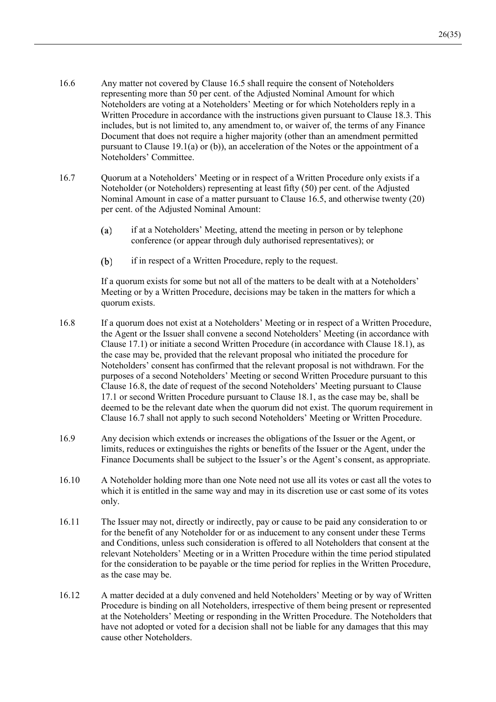- 16.6 Any matter not covered by Clause 16.5 shall require the consent of Noteholders representing more than 50 per cent. of the Adjusted Nominal Amount for which Noteholders are voting at a Noteholders' Meeting or for which Noteholders reply in a Written Procedure in accordance with the instructions given pursuant to Clause 18.3. This includes, but is not limited to, any amendment to, or waiver of, the terms of any Finance Document that does not require a higher majority (other than an amendment permitted pursuant to Clause 19.1(a) or (b)), an acceleration of the Notes or the appointment of a Noteholders' Committee.
- 16.7 Quorum at a Noteholders' Meeting or in respect of a Written Procedure only exists if a Noteholder (or Noteholders) representing at least fifty (50) per cent. of the Adjusted Nominal Amount in case of a matter pursuant to Clause 16.5, and otherwise twenty (20) per cent. of the Adjusted Nominal Amount:
	- if at a Noteholders' Meeting, attend the meeting in person or by telephone  $(a)$ conference (or appear through duly authorised representatives); or
	- $(b)$ if in respect of a Written Procedure, reply to the request.

If a quorum exists for some but not all of the matters to be dealt with at a Noteholders' Meeting or by a Written Procedure, decisions may be taken in the matters for which a quorum exists.

- 16.8 If a quorum does not exist at a Noteholders' Meeting or in respect of a Written Procedure, the Agent or the Issuer shall convene a second Noteholders' Meeting (in accordance with Clause 17.1) or initiate a second Written Procedure (in accordance with Clause 18.1), as the case may be, provided that the relevant proposal who initiated the procedure for Noteholders' consent has confirmed that the relevant proposal is not withdrawn. For the purposes of a second Noteholders' Meeting or second Written Procedure pursuant to this Clause 16.8, the date of request of the second Noteholders' Meeting pursuant to Clause 17.1 or second Written Procedure pursuant to Clause 18.1, as the case may be, shall be deemed to be the relevant date when the quorum did not exist. The quorum requirement in Clause 16.7 shall not apply to such second Noteholders' Meeting or Written Procedure.
- 16.9 Any decision which extends or increases the obligations of the Issuer or the Agent, or limits, reduces or extinguishes the rights or benefits of the Issuer or the Agent, under the Finance Documents shall be subject to the Issuer's or the Agent's consent, as appropriate.
- 16.10 A Noteholder holding more than one Note need not use all its votes or cast all the votes to which it is entitled in the same way and may in its discretion use or cast some of its votes only.
- 16.11 The Issuer may not, directly or indirectly, pay or cause to be paid any consideration to or for the benefit of any Noteholder for or as inducement to any consent under these Terms and Conditions, unless such consideration is offered to all Noteholders that consent at the relevant Noteholders' Meeting or in a Written Procedure within the time period stipulated for the consideration to be payable or the time period for replies in the Written Procedure, as the case may be.
- 16.12 A matter decided at a duly convened and held Noteholders' Meeting or by way of Written Procedure is binding on all Noteholders, irrespective of them being present or represented at the Noteholders' Meeting or responding in the Written Procedure. The Noteholders that have not adopted or voted for a decision shall not be liable for any damages that this may cause other Noteholders.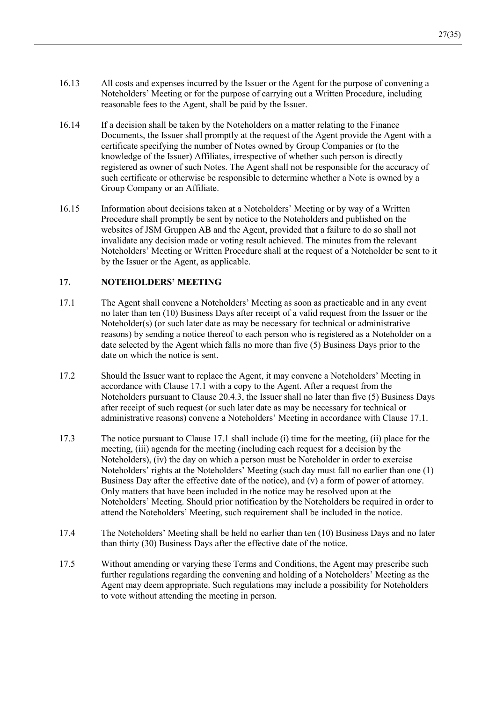- 16.13 All costs and expenses incurred by the Issuer or the Agent for the purpose of convening a Noteholders' Meeting or for the purpose of carrying out a Written Procedure, including reasonable fees to the Agent, shall be paid by the Issuer.
- 16.14 If a decision shall be taken by the Noteholders on a matter relating to the Finance Documents, the Issuer shall promptly at the request of the Agent provide the Agent with a certificate specifying the number of Notes owned by Group Companies or (to the knowledge of the Issuer) Affiliates, irrespective of whether such person is directly registered as owner of such Notes. The Agent shall not be responsible for the accuracy of such certificate or otherwise be responsible to determine whether a Note is owned by a Group Company or an Affiliate.
- 16.15 Information about decisions taken at a Noteholders' Meeting or by way of a Written Procedure shall promptly be sent by notice to the Noteholders and published on the websites of JSM Gruppen AB and the Agent, provided that a failure to do so shall not invalidate any decision made or voting result achieved. The minutes from the relevant Noteholders' Meeting or Written Procedure shall at the request of a Noteholder be sent to it by the Issuer or the Agent, as applicable.

### $17.$ **NOTEHOLDERS' MEETING**

- 17.1 The Agent shall convene a Noteholders' Meeting as soon as practicable and in any event no later than ten  $(10)$  Business Days after receipt of a valid request from the Issuer or the Noteholder(s) (or such later date as may be necessary for technical or administrative reasons) by sending a notice thereof to each person who is registered as a Noteholder on a date selected by the Agent which falls no more than five (5) Business Days prior to the date on which the notice is sent.
- 17.2 Should the Issuer want to replace the Agent, it may convene a Noteholders' Meeting in accordance with Clause 17.1 with a copy to the Agent. After a request from the Noteholders pursuant to Clause 20.4.3, the Issuer shall no later than five (5) Business Days after receipt of such request (or such later date as may be necessary for technical or administrative reasons) convene a Noteholders' Meeting in accordance with Clause 17.1.
- 17.3 The notice pursuant to Clause 17.1 shall include (i) time for the meeting, (ii) place for the meeting, (iii) agenda for the meeting (including each request for a decision by the Noteholders), (iv) the day on which a person must be Noteholder in order to exercise Noteholders' rights at the Noteholders' Meeting (such day must fall no earlier than one (1) Business Day after the effective date of the notice), and (v) a form of power of attorney. Only matters that have been included in the notice may be resolved upon at the Noteholders' Meeting. Should prior notification by the Noteholders be required in order to attend the Noteholders' Meeting, such requirement shall be included in the notice.
- 17.4 The Noteholders' Meeting shall be held no earlier than ten (10) Business Days and no later than thirty (30) Business Days after the effective date of the notice.
- 17.5 Without amending or varying these Terms and Conditions, the Agent may prescribe such further regulations regarding the convening and holding of a Noteholders' Meeting as the Agent may deem appropriate. Such regulations may include a possibility for Noteholders to vote without attending the meeting in person.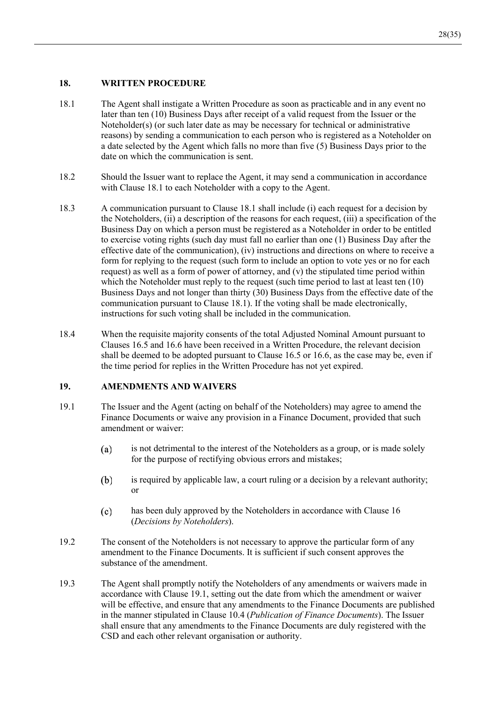### 18. **WRITTEN PROCEDURE**

- 18.1 The Agent shall instigate a Written Procedure as soon as practicable and in any event no later than ten  $(10)$  Business Days after receipt of a valid request from the Issuer or the Noteholder(s) (or such later date as may be necessary for technical or administrative reasons) by sending a communication to each person who is registered as a Noteholder on a date selected by the Agent which falls no more than five  $(5)$  Business Days prior to the date on which the communication is sent.
- 18.2 Should the Issuer want to replace the Agent, it may send a communication in accordance with Clause 18.1 to each Noteholder with a copy to the Agent.
- 18.3 A communication pursuant to Clause 18.1 shall include (i) each request for a decision by the Noteholders, (ii) a description of the reasons for each request, (iii) a specification of the Business Day on which a person must be registered as a Noteholder in order to be entitled to exercise voting rights (such day must fall no earlier than one  $(1)$  Business Day after the effective date of the communication), (iv) instructions and directions on where to receive a form for replying to the request (such form to include an option to vote yes or no for each request) as well as a form of power of attorney, and  $(v)$  the stipulated time period within which the Noteholder must reply to the request (such time period to last at least ten  $(10)$ ) Business Days and not longer than thirty (30) Business Days from the effective date of the communication pursuant to Clause 18.1). If the voting shall be made electronically, instructions for such voting shall be included in the communication.
- 18.4 When the requisite majority consents of the total Adjusted Nominal Amount pursuant to Clauses 16.5 and 16.6 have been received in a Written Procedure, the relevant decision shall be deemed to be adopted pursuant to Clause 16.5 or 16.6, as the case may be, even if the time period for replies in the Written Procedure has not yet expired.

### 19. **AMENDMENTS AND WAIVERS**

- 19.1 The Issuer and the Agent (acting on behalf of the Noteholders) may agree to amend the Finance Documents or waive any provision in a Finance Document, provided that such amendment or waiver:
	- is not detrimental to the interest of the Noteholders as a group, or is made solely  $(a)$ for the purpose of rectifying obvious errors and mistakes;
	- $(b)$ is required by applicable law, a court ruling or a decision by a relevant authority; or
	- $(c)$ has been duly approved by the Noteholders in accordance with Clause 16 *Decisions by Noteholders*
- 19.2 The consent of the Noteholders is not necessary to approve the particular form of any amendment to the Finance Documents. It is sufficient if such consent approves the substance of the amendment.
- 19.3 The Agent shall promptly notify the Noteholders of any amendments or waivers made in accordance with Clause 19.1, setting out the date from which the amendment or waiver will be effective, and ensure that any amendments to the Finance Documents are published in the manner stipulated in Clause 10.4 (*Publication of Finance Documents*). The Issuer shall ensure that any amendments to the Finance Documents are duly registered with the CSD and each other relevant organisation or authority.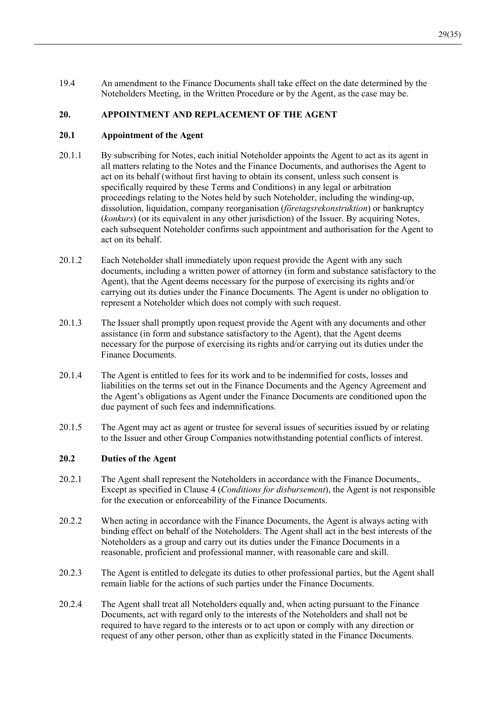19.4 An amendment to the Finance Documents shall take effect on the date determined by the Noteholders Meeting, in the Written Procedure or by the Agent, as the case may be.

### APPOINTMENT AND REPLACEMENT OF THE AGENT 20.

### $20.1$ **Appointment of the Agent**

- $2011$ By subscribing for Notes, each initial Noteholder appoints the Agent to act as its agent in all matters relating to the Notes and the Finance Documents, and authorises the Agent to act on its behalf (without first having to obtain its consent, unless such consent is specifically required by these Terms and Conditions) in any legal or arbitration proceedings relating to the Notes held by such Noteholder, including the winding-up, dissolution, liquidation, company reorganisation (företagsrekonstruktion) or bankruptcy (konkurs) (or its equivalent in any other jurisdiction) of the Issuer. By acquiring Notes, each subsequent Noteholder confirms such appointment and authorisation for the Agent to act on its behalf.
- $20.1.2$ Each Noteholder shall immediately upon request provide the Agent with any such documents, including a written power of attorney (in form and substance satisfactory to the Agent), that the Agent deems necessary for the purpose of exercising its rights and/or carrying out its duties under the Finance Documents. The Agent is under no obligation to represent a Noteholder which does not comply with such request.
- 20.1.3 The Issuer shall promptly upon request provide the Agent with any documents and other assistance (in form and substance satisfactory to the Agent), that the Agent deems necessary for the purpose of exercising its rights and/or carrying out its duties under the Finance Documents.
- 20.1.4 The Agent is entitled to fees for its work and to be indemnified for costs, losses and liabilities on the terms set out in the Finance Documents and the Agency Agreement and the Agent's obligations as Agent under the Finance Documents are conditioned upon the due payment of such fees and indemnifications.
- 20.1.5 The Agent may act as agent or trustee for several issues of securities issued by or relating to the Issuer and other Group Companies notwithstanding potential conflicts of interest.

### 20.2 **Duties of the Agent**

- $20.2.1$ The Agent shall represent the Noteholders in accordance with the Finance Documents,. Except as specified in Clause 4 (*Conditions for disbursement*), the Agent is not responsible for the execution or enforceability of the Finance Documents.
- $20.2.2$ When acting in accordance with the Finance Documents, the Agent is always acting with binding effect on behalf of the Noteholders. The Agent shall act in the best interests of the Noteholders as a group and carry out its duties under the Finance Documents in a reasonable, proficient and professional manner, with reasonable care and skill.
- $20.2.3$ The Agent is entitled to delegate its duties to other professional parties, but the Agent shall remain liable for the actions of such parties under the Finance Documents.
- 20.2.4 The Agent shall treat all Noteholders equally and, when acting pursuant to the Finance Documents, act with regard only to the interests of the Noteholders and shall not be required to have regard to the interests or to act upon or comply with any direction or request of any other person, other than as explicitly stated in the Finance Documents.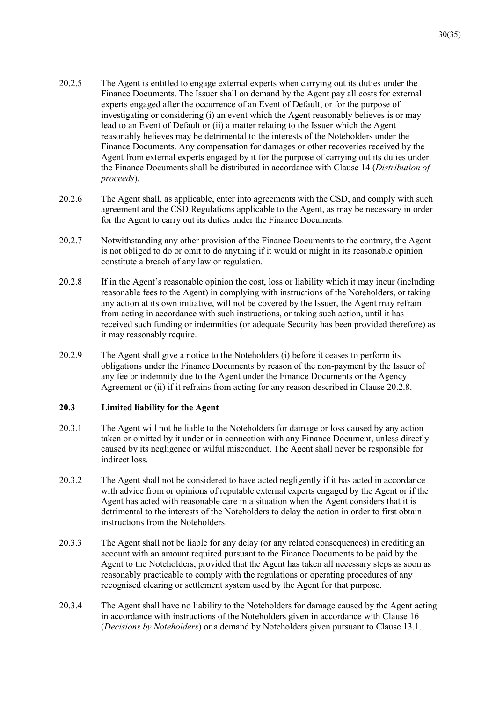- $20.2.5$ The Agent is entitled to engage external experts when carrying out its duties under the Finance Documents. The Issuer shall on demand by the Agent pay all costs for external experts engaged after the occurrence of an Event of Default, or for the purpose of investigating or considering (i) an event which the Agent reasonably believes is or may lead to an Event of Default or (ii) a matter relating to the Issuer which the Agent reasonably believes may be detrimental to the interests of the Noteholders under the Finance Documents. Any compensation for damages or other recoveries received by the Agent from external experts engaged by it for the purpose of carrying out its duties under the Finance Documents shall be distributed in accordance with Clause 14 (Distribution of proceeds).
- 20.2.6 The Agent shall, as applicable, enter into agreements with the CSD, and comply with such agreement and the CSD Regulations applicable to the Agent, as may be necessary in order for the Agent to carry out its duties under the Finance Documents.
- 20.2.7 Notwithstanding any other provision of the Finance Documents to the contrary, the Agent is not obliged to do or omit to do anything if it would or might in its reasonable opinion constitute a breach of any law or regulation.
- 20.2.8 If in the Agent's reasonable opinion the cost, loss or liability which it may incur (including reasonable fees to the Agent) in complying with instructions of the Noteholders, or taking any action at its own initiative, will not be covered by the Issuer, the Agent may refrain from acting in accordance with such instructions, or taking such action, until it has received such funding or indemnities (or adequate Security has been provided therefore) as it may reasonably require.
- 20.2.9 The Agent shall give a notice to the Noteholders (i) before it ceases to perform its obligations under the Finance Documents by reason of the non-payment by the Issuer of any fee or indemnity due to the Agent under the Finance Documents or the Agency Agreement or (ii) if it refrains from acting for any reason described in Clause 20.2.8.

### $20.3$ **Limited liability for the Agent**

- 20.3.1 The Agent will not be liable to the Noteholders for damage or loss caused by any action taken or omitted by it under or in connection with any Finance Document, unless directly caused by its negligence or wilful misconduct. The Agent shall never be responsible for indirect loss.
- 20.3.2 The Agent shall not be considered to have acted negligently if it has acted in accordance with advice from or opinions of reputable external experts engaged by the Agent or if the Agent has acted with reasonable care in a situation when the Agent considers that it is detrimental to the interests of the Noteholders to delay the action in order to first obtain instructions from the Noteholders.
- 20.3.3 The Agent shall not be liable for any delay (or any related consequences) in crediting an account with an amount required pursuant to the Finance Documents to be paid by the Agent to the Noteholders, provided that the Agent has taken all necessary steps as soon as reasonably practicable to comply with the regulations or operating procedures of any recognised clearing or settlement system used by the Agent for that purpose.
- 20.3.4 The Agent shall have no liability to the Noteholders for damage caused by the Agent acting in accordance with instructions of the Noteholders given in accordance with Clause 16 (Decisions by Noteholders) or a demand by Noteholders given pursuant to Clause 13.1.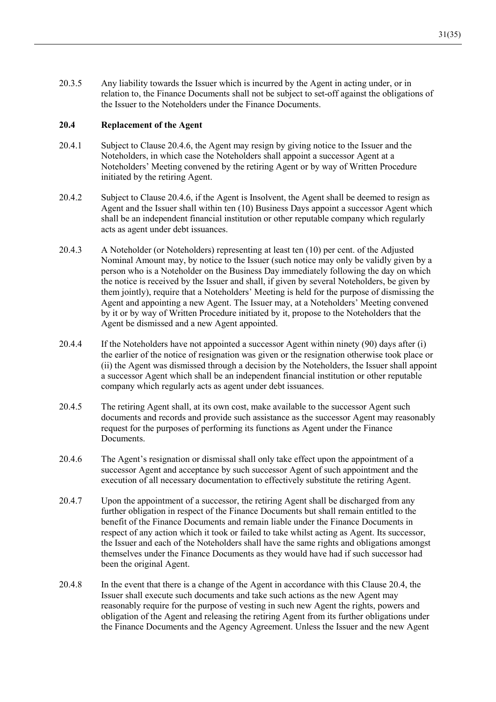20.3.5 Any liability towards the Issuer which is incurred by the Agent in acting under, or in relation to, the Finance Documents shall not be subject to set-off against the obligations of the Issuer to the Noteholders under the Finance Documents.

### $20.4$ **Replacement of the Agent**

- $20.4.1$ Subject to Clause 20.4.6, the Agent may resign by giving notice to the Issuer and the Noteholders, in which case the Noteholders shall appoint a successor Agent at a Noteholders' Meeting convened by the retiring Agent or by way of Written Procedure initiated by the retiring Agent.
- $20.4.2$ Subject to Clause 20.4.6, if the Agent is Insolvent, the Agent shall be deemed to resign as Agent and the Issuer shall within ten (10) Business Days appoint a successor Agent which shall be an independent financial institution or other reputable company which regularly acts as agent under debt issuances.
- 20.4.3 A Noteholder (or Noteholders) representing at least ten (10) per cent. of the Adjusted Nominal Amount may, by notice to the Issuer (such notice may only be validly given by a person who is a Noteholder on the Business Day immediately following the day on which the notice is received by the Issuer and shall, if given by several Noteholders, be given by them jointly), require that a Noteholders' Meeting is held for the purpose of dismissing the Agent and appointing a new Agent. The Issuer may, at a Noteholders' Meeting convened by it or by way of Written Procedure initiated by it, propose to the Noteholders that the Agent be dismissed and a new Agent appointed.
- 20.4.4 If the Noteholders have not appointed a successor Agent within ninety (90) days after (i) the earlier of the notice of resignation was given or the resignation otherwise took place or (ii) the Agent was dismissed through a decision by the Noteholders, the Issuer shall appoint a successor Agent which shall be an independent financial institution or other reputable company which regularly acts as agent under debt issuances.
- 20.4.5 The retiring Agent shall, at its own cost, make available to the successor Agent such documents and records and provide such assistance as the successor Agent may reasonably request for the purposes of performing its functions as Agent under the Finance Documents.
- 20.4.6 The Agent's resignation or dismissal shall only take effect upon the appointment of a successor Agent and acceptance by such successor Agent of such appointment and the execution of all necessary documentation to effectively substitute the retiring Agent.
- 20.4.7 Upon the appointment of a successor, the retiring Agent shall be discharged from any further obligation in respect of the Finance Documents but shall remain entitled to the benefit of the Finance Documents and remain liable under the Finance Documents in respect of any action which it took or failed to take whilst acting as Agent. Its successor, the Issuer and each of the Noteholders shall have the same rights and obligations amongst themselves under the Finance Documents as they would have had if such successor had been the original Agent.
- 20.4.8 In the event that there is a change of the Agent in accordance with this Clause 20.4, the Issuer shall execute such documents and take such actions as the new Agent may reasonably require for the purpose of vesting in such new Agent the rights, powers and obligation of the Agent and releasing the retiring Agent from its further obligations under the Finance Documents and the Agency Agreement. Unless the Issuer and the new Agent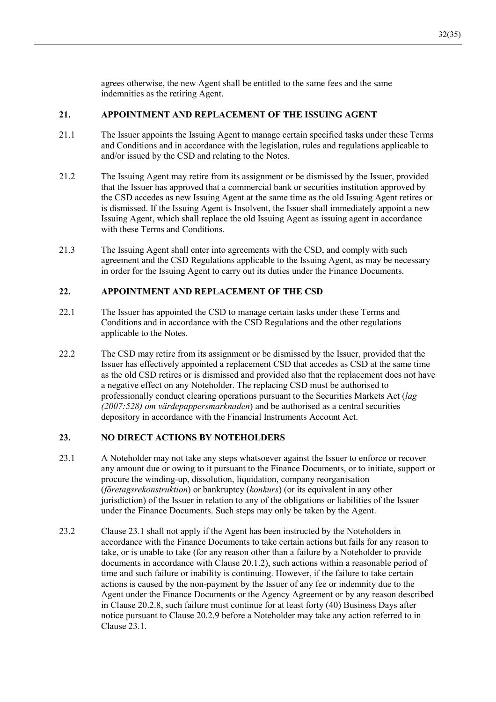agrees otherwise, the new Agent shall be entitled to the same fees and the same indemnities as the retiring Agent.

### $21.$ APPOINTMENT AND REPLACEMENT OF THE ISSUING AGENT

- 21.1 The Issuer appoints the Issuing Agent to manage certain specified tasks under these Terms and Conditions and in accordance with the legislation, rules and regulations applicable to and/or issued by the CSD and relating to the Notes.
- $21.2$ The Issuing Agent may retire from its assignment or be dismissed by the Issuer, provided that the Issuer has approved that a commercial bank or securities institution approved by the CSD accedes as new Issuing Agent at the same time as the old Issuing Agent retires or is dismissed. If the Issuing Agent is Insolvent, the Issuer shall immediately appoint a new Issuing Agent, which shall replace the old Issuing Agent as issuing agent in accordance with these Terms and Conditions.
- 21.3 The Issuing Agent shall enter into agreements with the CSD, and comply with such agreement and the CSD Regulations applicable to the Issuing Agent, as may be necessary in order for the Issuing Agent to carry out its duties under the Finance Documents.

### $22$ APPOINTMENT AND REPLACEMENT OF THE CSD

- $22.1$ The Issuer has appointed the CSD to manage certain tasks under these Terms and Conditions and in accordance with the CSD Regulations and the other regulations applicable to the Notes.
- 22.2 The CSD may retire from its assignment or be dismissed by the Issuer, provided that the Issuer has effectively appointed a replacement CSD that accedes as CSD at the same time as the old CSD retires or is dismissed and provided also that the replacement does not have a negative effect on any Noteholder. The replacing CSD must be authorised to professionally conduct clearing operations pursuant to the Securities Markets Act (lag  $(2007:528)$  om värdepappersmarknaden) and be authorised as a central securities depository in accordance with the Financial Instruments Account Act.

### 23. **NO DIRECT ACTIONS BY NOTEHOLDERS**

- 23.1 A Noteholder may not take any steps whatsoever against the Issuer to enforce or recover any amount due or owing to it pursuant to the Finance Documents, or to initiate, support or procure the winding-up, dissolution, liquidation, company reorganisation (företagsrekonstruktion) or bankruptcy (konkurs) (or its equivalent in any other jurisdiction) of the Issuer in relation to any of the obligations or liabilities of the Issuer under the Finance Documents. Such steps may only be taken by the Agent.
- 23.2 Clause 23.1 shall not apply if the Agent has been instructed by the Noteholders in accordance with the Finance Documents to take certain actions but fails for any reason to take, or is unable to take (for any reason other than a failure by a Noteholder to provide documents in accordance with Clause 20.1.2), such actions within a reasonable period of time and such failure or inability is continuing. However, if the failure to take certain actions is caused by the non-payment by the Issuer of any fee or indemnity due to the Agent under the Finance Documents or the Agency Agreement or by any reason described in Clause 20.2.8, such failure must continue for at least forty (40) Business Days after notice pursuant to Clause 20.2.9 before a Noteholder may take any action referred to in Clause 23.1.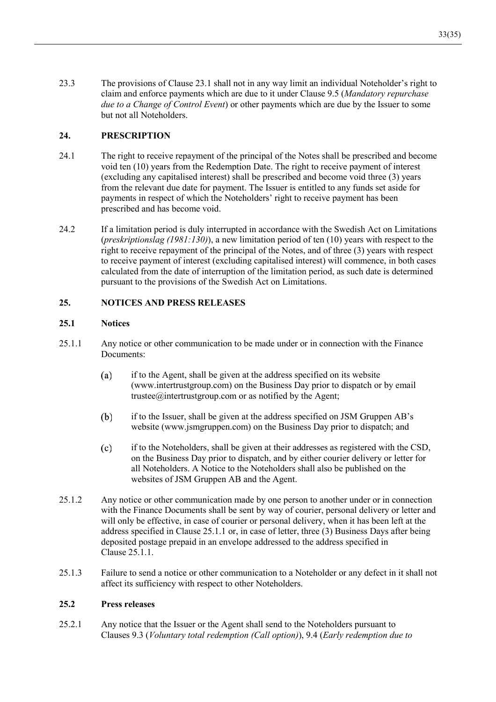23.3 The provisions of Clause 23.1 shall not in any way limit an individual Noteholder's right to claim and enforce payments which are due to it under Clause 9.5 (Mandatory repurchase due to a Change of Control Event) or other payments which are due by the Issuer to some but not all Noteholders.

### $24.$ **PRESCRIPTION**

- $24.1$ The right to receive repayment of the principal of the Notes shall be prescribed and become void ten (10) years from the Redemption Date. The right to receive payment of interest (excluding any capitalised interest) shall be prescribed and become void three (3) years from the relevant due date for payment. The Issuer is entitled to any funds set aside for payments in respect of which the Noteholders' right to receive payment has been prescribed and has become void.
- 24.2 If a limitation period is duly interrupted in accordance with the Swedish Act on Limitations (*preskriptionslag* (1981:130)), a new limitation period of ten (10) years with respect to the right to receive repayment of the principal of the Notes, and of three (3) years with respect to receive payment of interest (excluding capitalised interest) will commence, in both cases calculated from the date of interruption of the limitation period, as such date is determined pursuant to the provisions of the Swedish Act on Limitations.

### $25.$ **NOTICES AND PRESS RELEASES**

### $25.1$ **Notices**

- 25.1.1 Any notice or other communication to be made under or in connection with the Finance Documents:
	- $(a)$ if to the Agent, shall be given at the address specified on its website (www.intertrustgroup.com) on the Business Day prior to dispatch or by email trustee@intertrustgroup.com or as notified by the Agent;
	- $(b)$ if to the Issuer, shall be given at the address specified on JSM Gruppen AB's website (www.jsmgruppen.com) on the Business Day prior to dispatch; and
	- $(c)$ if to the Noteholders, shall be given at their addresses as registered with the CSD, on the Business Day prior to dispatch, and by either courier delivery or letter for all Noteholders. A Notice to the Noteholders shall also be published on the websites of JSM Gruppen AB and the Agent.
- $25.1.2$ Any notice or other communication made by one person to another under or in connection with the Finance Documents shall be sent by way of courier, personal delivery or letter and will only be effective, in case of courier or personal delivery, when it has been left at the address specified in Clause 25.1.1 or, in case of letter, three (3) Business Days after being deposited postage prepaid in an envelope addressed to the address specified in Clause 25.1.1.
- $25.1.3$ Failure to send a notice or other communication to a Noteholder or any defect in it shall not affect its sufficiency with respect to other Noteholders.

### $25.2$ **Press releases**

 $25.2.1$ Any notice that the Issuer or the Agent shall send to the Noteholders pursuant to Clauses 9.3 (Voluntary total redemption (Call option)), 9.4 (Early redemption due to